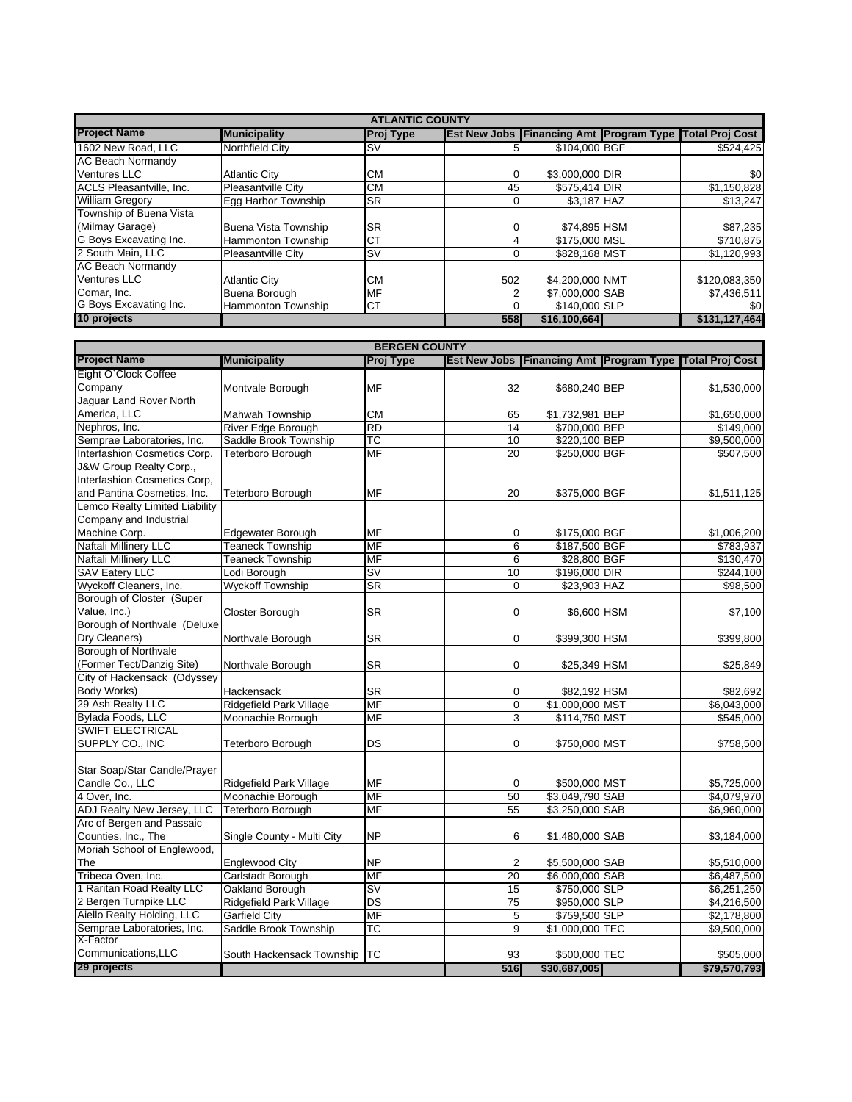|                          | <b>ATLANTIC COUNTY</b> |                  |     |                 |  |                                                                |  |  |
|--------------------------|------------------------|------------------|-----|-----------------|--|----------------------------------------------------------------|--|--|
| <b>Project Name</b>      | <b>Municipality</b>    | <b>Proj Type</b> |     |                 |  | <b>Est New Jobs Financing Amt Program Type Total Proj Cost</b> |  |  |
| 1602 New Road, LLC       | <b>Northfield City</b> | <b>SV</b>        |     | \$104,000 BGF   |  | \$524,425                                                      |  |  |
| <b>AC Beach Normandy</b> |                        |                  |     |                 |  |                                                                |  |  |
| <b>Ventures LLC</b>      | <b>Atlantic City</b>   | <b>CM</b>        |     | \$3,000,000 DIR |  | \$0                                                            |  |  |
| ACLS Pleasantville, Inc. | Pleasantville City     | <b>CM</b>        | 45  | \$575,414 DIR   |  | \$1,150,828                                                    |  |  |
| <b>William Gregory</b>   | Egg Harbor Township    | <b>SR</b>        |     | \$3,187 HAZ     |  | \$13,247                                                       |  |  |
| Township of Buena Vista  |                        |                  |     |                 |  |                                                                |  |  |
| (Milmay Garage)          | Buena Vista Township   | <b>SR</b>        |     | \$74,895 HSM    |  | \$87,235                                                       |  |  |
| G Boys Excavating Inc.   | Hammonton Township     | <b>CT</b>        |     | \$175,000 MSL   |  | \$710,875                                                      |  |  |
| 2 South Main, LLC        | Pleasantville City     | <b>SV</b>        |     | \$828,168 MST   |  | \$1,120,993                                                    |  |  |
| <b>AC Beach Normandy</b> |                        |                  |     |                 |  |                                                                |  |  |
| <b>Ventures LLC</b>      | <b>Atlantic City</b>   | <b>CM</b>        | 502 | \$4,200,000 NMT |  | \$120,083,350                                                  |  |  |
| Comar, Inc.              | Buena Borough          | <b>MF</b>        |     | \$7,000,000 SAB |  | \$7,436,511                                                    |  |  |
| G Boys Excavating Inc.   | Hammonton Township     | <b>CT</b>        |     | \$140,000 SLP   |  | \$0                                                            |  |  |
| 10 projects              |                        |                  | 558 | \$16,100,664    |  | \$131,127,464                                                  |  |  |

| <b>BERGEN COUNTY</b>           |                            |                                   |                 |                                             |  |                        |  |  |
|--------------------------------|----------------------------|-----------------------------------|-----------------|---------------------------------------------|--|------------------------|--|--|
| <b>Project Name</b>            | <b>Municipality</b>        | Proj Type                         |                 | Est New Jobs   Financing Amt   Program Type |  | <b>Total Proj Cost</b> |  |  |
| Eight O'Clock Coffee           |                            |                                   |                 |                                             |  |                        |  |  |
| Company                        | Montvale Borough           | MF                                | 32              | \$680,240 BEP                               |  | \$1,530,000            |  |  |
| Jaguar Land Rover North        |                            |                                   |                 |                                             |  |                        |  |  |
| America, LLC                   | <b>Mahwah Township</b>     | <b>CM</b>                         | 65              | \$1,732,981 BEP                             |  | \$1,650,000            |  |  |
| Nephros, Inc.                  | River Edge Borough         | <b>RD</b>                         | 14              | \$700,000 BEP                               |  | \$149,000              |  |  |
| Semprae Laboratories, Inc.     | Saddle Brook Township      | ТC                                | 10              | \$220,100 BEP                               |  | \$9,500,000            |  |  |
| Interfashion Cosmetics Corp.   | <b>Teterboro Borough</b>   | <b>MF</b>                         | 20              | \$250,000 BGF                               |  | \$507,500              |  |  |
| J&W Group Realty Corp.,        |                            |                                   |                 |                                             |  |                        |  |  |
| Interfashion Cosmetics Corp,   |                            |                                   |                 |                                             |  |                        |  |  |
| and Pantina Cosmetics, Inc.    | Teterboro Borough          | MF                                | 20              | \$375,000 BGF                               |  | \$1,511,125            |  |  |
| Lemco Realty Limited Liability |                            |                                   |                 |                                             |  |                        |  |  |
| Company and Industrial         |                            |                                   |                 |                                             |  |                        |  |  |
| Machine Corp.                  | Edgewater Borough          | MF                                | $\mathbf 0$     | \$175,000 BGF                               |  | \$1,006,200            |  |  |
| Naftali Millinery LLC          | <b>Teaneck Township</b>    | <b>MF</b>                         | 6               | \$187,500 BGF                               |  | \$783,937              |  |  |
| Naftali Millinery LLC          | <b>Teaneck Township</b>    | <b>MF</b>                         | 6               | \$28,800 BGF                                |  | \$130,470              |  |  |
| <b>SAV Eatery LLC</b>          | Lodi Borough               | $\overline{\mathsf{s}\mathsf{v}}$ | 10              | \$196,000 DIR                               |  | \$244,100              |  |  |
| Wyckoff Cleaners, Inc.         | <b>Wyckoff Township</b>    | SR                                | $\mathbf 0$     | \$23,903 HAZ                                |  | \$98,500               |  |  |
| Borough of Closter (Super      |                            |                                   |                 |                                             |  |                        |  |  |
| Value, Inc.)                   | Closter Borough            | <b>SR</b>                         | $\Omega$        | \$6,600 HSM                                 |  | \$7,100                |  |  |
| Borough of Northvale (Deluxe   |                            |                                   |                 |                                             |  |                        |  |  |
| Dry Cleaners)                  | Northvale Borough          | <b>SR</b>                         | $\Omega$        | \$399,300 HSM                               |  | \$399,800              |  |  |
| Borough of Northvale           |                            |                                   |                 |                                             |  |                        |  |  |
| (Former Tect/Danzig Site)      | Northvale Borough          | <b>SR</b>                         | $\mathbf 0$     | \$25,349 HSM                                |  | \$25,849               |  |  |
| City of Hackensack (Odyssey    |                            |                                   |                 |                                             |  |                        |  |  |
| Body Works)                    | Hackensack                 | <b>SR</b>                         | $\mathbf 0$     | \$82,192 HSM                                |  | \$82,692               |  |  |
| 29 Ash Realty LLC              | Ridgefield Park Village    | MF                                | $\mathbf 0$     | \$1,000,000 MST                             |  | \$6,043,000            |  |  |
| Bylada Foods, LLC              | Moonachie Borough          | <b>MF</b>                         | $\overline{3}$  | \$114,750 MST                               |  | \$545,000              |  |  |
| <b>SWIFT ELECTRICAL</b>        |                            |                                   |                 |                                             |  |                        |  |  |
| SUPPLY CO., INC                | <b>Teterboro Borough</b>   | DS                                | $\mathbf 0$     | \$750,000 MST                               |  | \$758,500              |  |  |
|                                |                            |                                   |                 |                                             |  |                        |  |  |
| Star Soap/Star Candle/Prayer   |                            |                                   |                 |                                             |  |                        |  |  |
| Candle Co., LLC                | Ridgefield Park Village    | MF                                | $\overline{0}$  | \$500,000 MST                               |  | \$5,725,000            |  |  |
| 4 Over, Inc.                   | Moonachie Borough          | <b>MF</b>                         | 50              | \$3,049,790 SAB                             |  | \$4,079,970            |  |  |
| ADJ Realty New Jersey, LLC     | <b>Teterboro Borough</b>   | <b>MF</b>                         | 55              | \$3,250,000 SAB                             |  | \$6,960,000            |  |  |
| Arc of Bergen and Passaic      |                            |                                   |                 |                                             |  |                        |  |  |
| Counties, Inc., The            | Single County - Multi City | <b>NP</b>                         | 6               | \$1,480,000 SAB                             |  | \$3,184,000            |  |  |
| Moriah School of Englewood,    |                            |                                   |                 |                                             |  |                        |  |  |
| The                            | <b>Englewood City</b>      | <b>NP</b>                         | $\overline{c}$  | \$5,500,000 SAB                             |  | \$5,510,000            |  |  |
| Tribeca Oven, Inc.             | Carlstadt Borough          | <b>MF</b>                         | $\overline{20}$ | \$6,000,000 SAB                             |  | \$6,487,500            |  |  |
| 1 Raritan Road Realty LLC      | Oakland Borough            | $\overline{\mathsf{sv}}$          | 15              | \$750,000 SLP                               |  | \$6,251,250            |  |  |
| 2 Bergen Turnpike LLC          | Ridgefield Park Village    | DS                                | 75              | \$950,000 SLP                               |  | \$4,216,500            |  |  |
| Aiello Realty Holding, LLC     | <b>Garfield City</b>       | <b>MF</b>                         | $\overline{5}$  | \$759,500 SLP                               |  | \$2,178,800            |  |  |
| Semprae Laboratories, Inc.     | Saddle Brook Township      | $\overline{\text{TC}}$            | 9               | \$1,000,000 TEC                             |  | \$9,500,000            |  |  |
| X-Factor                       |                            |                                   |                 |                                             |  |                        |  |  |
| Communications, LLC            | South Hackensack Township  | <b>ITC</b>                        | 93              | \$500,000 TEC                               |  | \$505,000              |  |  |
| 29 projects                    |                            |                                   | 516             | \$30,687,005                                |  | \$79,570,793           |  |  |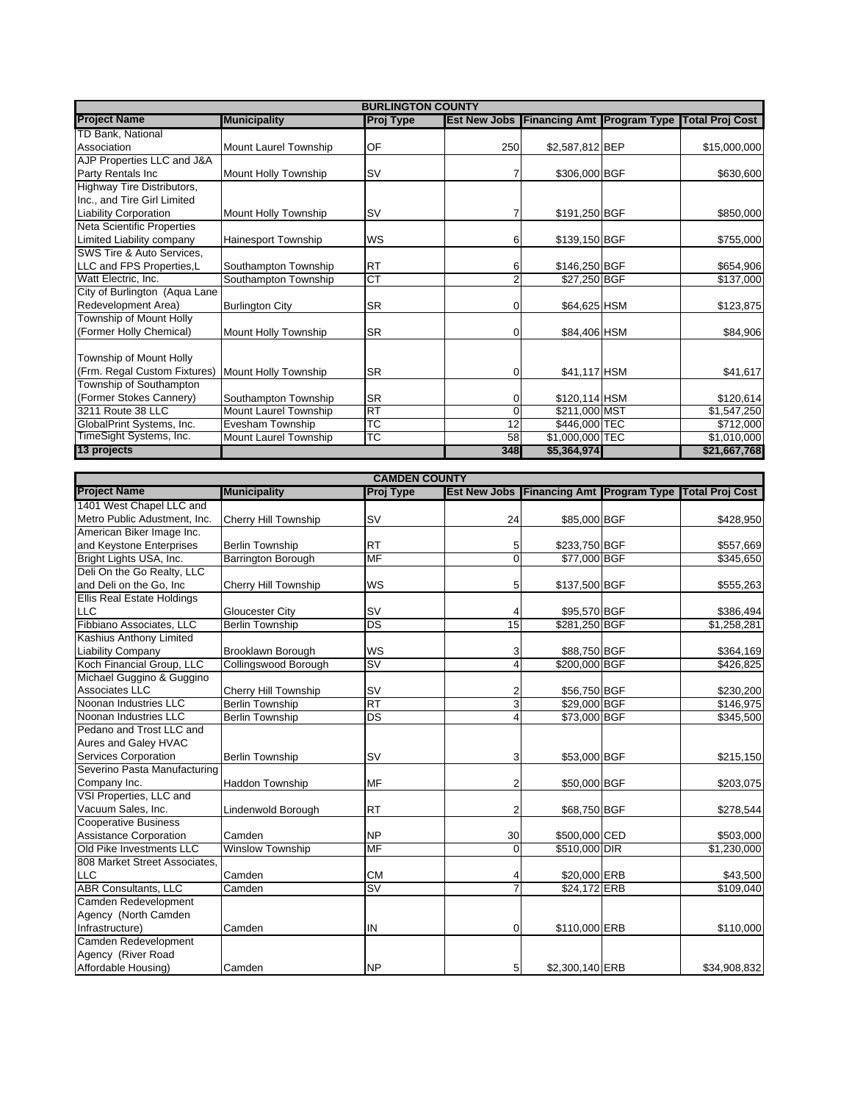| <b>BURLINGTON COUNTY</b>          |                              |                  |     |                                                |  |                        |  |  |
|-----------------------------------|------------------------------|------------------|-----|------------------------------------------------|--|------------------------|--|--|
| <b>Project Name</b>               | <b>Municipality</b>          | <b>Proj Type</b> |     | <b>Est New Jobs Financing Amt Program Type</b> |  | <b>Total Proj Cost</b> |  |  |
| TD Bank, National                 |                              |                  |     |                                                |  |                        |  |  |
| Association                       | Mount Laurel Township        | OF               | 250 | \$2,587,812 BEP                                |  | \$15,000,000           |  |  |
| AJP Properties LLC and J&A        |                              |                  |     |                                                |  |                        |  |  |
| Party Rentals Inc                 | Mount Holly Township         | <b>SV</b>        |     | \$306,000 BGF                                  |  | \$630,600              |  |  |
| <b>Highway Tire Distributors,</b> |                              |                  |     |                                                |  |                        |  |  |
| Inc., and Tire Girl Limited       |                              |                  |     |                                                |  |                        |  |  |
| <b>Liability Corporation</b>      | Mount Holly Township         | <b>SV</b>        |     | \$191,250 BGF                                  |  | \$850,000              |  |  |
| <b>Neta Scientific Properties</b> |                              |                  |     |                                                |  |                        |  |  |
| Limited Liability company         | <b>Hainesport Township</b>   | WS               | 6   | \$139,150 BGF                                  |  | \$755,000              |  |  |
| SWS Tire & Auto Services,         |                              |                  |     |                                                |  |                        |  |  |
| LLC and FPS Properties,L          | Southampton Township         | <b>RT</b>        | 6   | \$146,250 BGF                                  |  | \$654,906              |  |  |
| Watt Electric, Inc.               | Southampton Township         | <b>CT</b>        |     | \$27,250 BGF                                   |  | \$137,000              |  |  |
| City of Burlington (Aqua Lane     |                              |                  |     |                                                |  |                        |  |  |
| Redevelopment Area)               | <b>Burlington City</b>       | <b>SR</b>        | 0   | \$64,625 HSM                                   |  | \$123,875              |  |  |
| Township of Mount Holly           |                              |                  |     |                                                |  |                        |  |  |
| (Former Holly Chemical)           | Mount Holly Township         | <b>SR</b>        | 0   | \$84,406 HSM                                   |  | \$84,906               |  |  |
|                                   |                              |                  |     |                                                |  |                        |  |  |
| Township of Mount Holly           |                              |                  |     |                                                |  |                        |  |  |
| (Frm. Regal Custom Fixtures)      | Mount Holly Township         | <b>SR</b>        | 0   | \$41,117 HSM                                   |  | \$41,617               |  |  |
| Township of Southampton           |                              |                  |     |                                                |  |                        |  |  |
| (Former Stokes Cannery)           | Southampton Township         | <b>SR</b>        | 0   | \$120,114 HSM                                  |  | \$120,614              |  |  |
| 3211 Route 38 LLC                 | Mount Laurel Township        | <b>RT</b>        |     | \$211,000 MST                                  |  | \$1,547,250            |  |  |
| GlobalPrint Systems, Inc.         | Evesham Township             | <b>TC</b>        | 12  | \$446,000 TEC                                  |  | \$712,000              |  |  |
| TimeSight Systems, Inc.           | <b>Mount Laurel Township</b> | TC               | 58  | \$1,000,000 TEC                                |  | \$1,010,000            |  |  |
| 13 projects                       |                              |                  | 348 | \$5,364,974                                    |  | \$21,667,768           |  |  |

| <b>CAMDEN COUNTY</b>              |                           |                  |                     |                                                   |  |                       |  |
|-----------------------------------|---------------------------|------------------|---------------------|---------------------------------------------------|--|-----------------------|--|
| <b>Project Name</b>               | <b>Municipality</b>       | <b>Proj Type</b> | <b>Est New Jobs</b> | <b>Financing Amt Program Type Total Proj Cost</b> |  |                       |  |
| 1401 West Chapel LLC and          |                           |                  |                     |                                                   |  |                       |  |
| Metro Public Adustment, Inc.      | Cherry Hill Township      | <b>SV</b>        | 24                  | \$85,000 BGF                                      |  | \$428,950             |  |
| American Biker Image Inc.         |                           |                  |                     |                                                   |  |                       |  |
| and Keystone Enterprises          | <b>Berlin Township</b>    | <b>RT</b>        | 5                   | \$233,750 BGF                                     |  | \$557,669             |  |
| Bright Lights USA, Inc.           | <b>Barrington Borough</b> | <b>MF</b>        | $\Omega$            | \$77,000 BGF                                      |  | \$345,650             |  |
| Deli On the Go Realty, LLC        |                           |                  |                     |                                                   |  |                       |  |
| and Deli on the Go, Inc           | Cherry Hill Township      | WS               | 5                   | \$137,500 BGF                                     |  | \$555,263             |  |
| <b>Ellis Real Estate Holdings</b> |                           |                  |                     |                                                   |  |                       |  |
| LLC                               | <b>Gloucester City</b>    | <b>SV</b>        | 4                   | \$95,570 BGF                                      |  | \$386,494             |  |
| Fibbiano Associates, LLC          | <b>Berlin Township</b>    | <b>DS</b>        | 15                  | \$281,250 BGF                                     |  | \$1,258,281           |  |
| Kashius Anthony Limited           |                           |                  |                     |                                                   |  |                       |  |
| <b>Liability Company</b>          | Brooklawn Borough         | WS               | 3                   | \$88,750 BGF                                      |  | \$364,169             |  |
| Koch Financial Group, LLC         | Collingswood Borough      | <b>SV</b>        | $\overline{4}$      | \$200,000 BGF                                     |  | \$426,825             |  |
| Michael Guggino & Guggino         |                           |                  |                     |                                                   |  |                       |  |
| Associates LLC                    | Cherry Hill Township      | <b>SV</b>        | $\overline{2}$      | \$56,750 BGF                                      |  | \$230,200             |  |
| Noonan Industries LLC             | <b>Berlin Township</b>    | <b>RT</b>        | 3                   | \$29,000 BGF                                      |  | \$146,975             |  |
| Noonan Industries LLC             | <b>Berlin Township</b>    | <b>DS</b>        | $\Delta$            | \$73,000 BGF                                      |  | \$345,500             |  |
| Pedano and Trost LLC and          |                           |                  |                     |                                                   |  |                       |  |
| Aures and Galey HVAC              |                           |                  |                     |                                                   |  |                       |  |
| Services Corporation              | <b>Berlin Township</b>    | <b>SV</b>        | 3                   | \$53,000 BGF                                      |  | \$215,150             |  |
| Severino Pasta Manufacturing      |                           |                  |                     |                                                   |  |                       |  |
| Company Inc.                      | <b>Haddon Township</b>    | <b>MF</b>        | $\overline{2}$      | \$50,000 BGF                                      |  | \$203,075             |  |
| VSI Properties, LLC and           |                           |                  |                     |                                                   |  |                       |  |
| Vacuum Sales, Inc.                | Lindenwold Borough        | <b>RT</b>        | $\overline{2}$      | \$68,750 BGF                                      |  | \$278,544             |  |
| <b>Cooperative Business</b>       |                           |                  |                     |                                                   |  |                       |  |
| <b>Assistance Corporation</b>     | Camden                    | <b>NP</b>        | 30                  | \$500,000 CED                                     |  | \$503,000             |  |
| Old Pike Investments LLC          | <b>Winslow Township</b>   | <b>MF</b>        | $\Omega$            | \$510,000 DIR                                     |  | \$1,230,000           |  |
| 808 Market Street Associates.     |                           |                  |                     |                                                   |  |                       |  |
| <b>LLC</b>                        | Camden                    | <b>CM</b>        |                     | \$20,000 ERB                                      |  | \$43,500              |  |
| <b>ABR Consultants, LLC</b>       | Camden                    | <b>SV</b>        |                     | \$24.172 ERB                                      |  | $\overline{$}109,040$ |  |
| Camden Redevelopment              |                           |                  |                     |                                                   |  |                       |  |
| Agency (North Camden              |                           |                  |                     |                                                   |  |                       |  |
| Infrastructure)                   | Camden                    | IN               | $\mathbf 0$         | \$110,000 ERB                                     |  | \$110,000             |  |
| Camden Redevelopment              |                           |                  |                     |                                                   |  |                       |  |
| Agency (River Road                |                           |                  |                     |                                                   |  |                       |  |
| Affordable Housing)               | Camden                    | <b>NP</b>        | 5                   | \$2,300,140 ERB                                   |  | \$34.908.832          |  |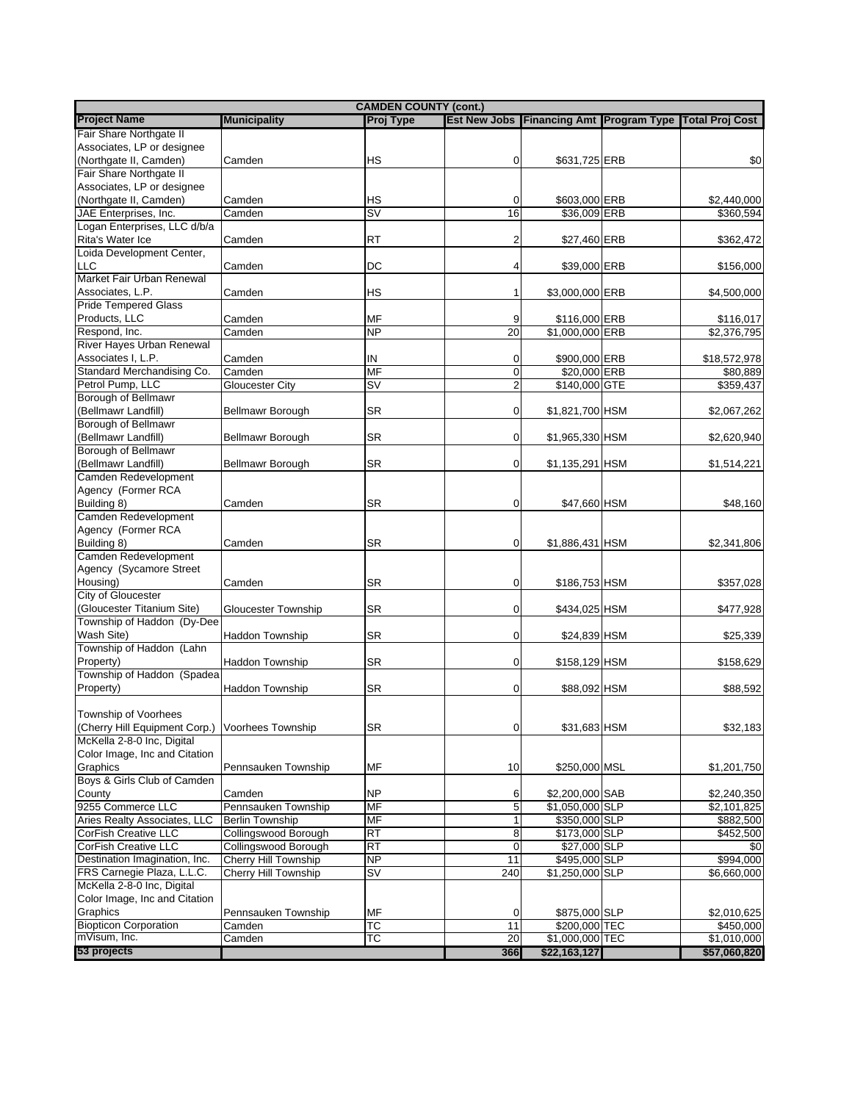| <b>CAMDEN COUNTY (cont.)</b>  |                        |                                   |                |                 |  |                                                               |  |
|-------------------------------|------------------------|-----------------------------------|----------------|-----------------|--|---------------------------------------------------------------|--|
| <b>Project Name</b>           | <b>Municipality</b>    | <b>Proj Type</b>                  |                |                 |  | Est New Jobs   Financing Amt   Program Type   Total Proj Cost |  |
| Fair Share Northgate II       |                        |                                   |                |                 |  |                                                               |  |
| Associates, LP or designee    |                        |                                   |                |                 |  |                                                               |  |
|                               |                        |                                   |                |                 |  |                                                               |  |
| (Northgate II, Camden)        | Camden                 | НS                                | 0              | \$631,725 ERB   |  | \$0                                                           |  |
| Fair Share Northgate II       |                        |                                   |                |                 |  |                                                               |  |
| Associates, LP or designee    |                        |                                   |                |                 |  |                                                               |  |
| (Northgate II, Camden)        | Camden                 | НS                                | $\overline{0}$ | \$603,000 ERB   |  | \$2,440,000                                                   |  |
| JAE Enterprises, Inc.         | Camden                 | $\overline{\mathsf{s}\mathsf{v}}$ | 16             | \$36,009 ERB    |  | \$360,594                                                     |  |
| Logan Enterprises, LLC d/b/a  |                        |                                   |                |                 |  |                                                               |  |
| Rita's Water Ice              | Camden                 | RT                                | $\overline{2}$ | \$27,460 ERB    |  | \$362,472                                                     |  |
| Loida Development Center,     |                        |                                   |                |                 |  |                                                               |  |
| <b>LLC</b>                    | Camden                 | DC                                | $\overline{4}$ | \$39,000 ERB    |  | \$156,000                                                     |  |
| Market Fair Urban Renewal     |                        |                                   |                |                 |  |                                                               |  |
|                               |                        |                                   |                |                 |  |                                                               |  |
| Associates, L.P.              | Camden                 | HS                                | 1              | \$3,000,000 ERB |  | \$4,500,000                                                   |  |
| <b>Pride Tempered Glass</b>   |                        |                                   |                |                 |  |                                                               |  |
| Products, LLC                 | Camden                 | MF                                | 9              | \$116,000 ERB   |  | \$116,017                                                     |  |
| Respond, Inc.                 | Camden                 | NP                                | 20             | \$1,000,000 ERB |  | \$2,376,795                                                   |  |
| River Hayes Urban Renewal     |                        |                                   |                |                 |  |                                                               |  |
| Associates I, L.P.            | Camden                 | IN                                | $\mathbf 0$    | \$900,000 ERB   |  | \$18,572,978                                                  |  |
| Standard Merchandising Co.    | Camden                 | <b>MF</b>                         | $\mathbf 0$    | \$20,000 ERB    |  | \$80,889                                                      |  |
| Petrol Pump, LLC              | <b>Gloucester City</b> | $\overline{\mathsf{S}}\mathsf{V}$ | $\overline{2}$ | \$140,000 GTE   |  | \$359,437                                                     |  |
|                               |                        |                                   |                |                 |  |                                                               |  |
| Borough of Bellmawr           |                        |                                   |                |                 |  |                                                               |  |
| (Bellmawr Landfill)           | Bellmawr Borough       | <b>SR</b>                         | $\overline{0}$ | \$1,821,700 HSM |  | \$2,067,262                                                   |  |
| Borough of Bellmawr           |                        |                                   |                |                 |  |                                                               |  |
| (Bellmawr Landfill)           | Bellmawr Borough       | <b>SR</b>                         | $\overline{0}$ | \$1,965,330 HSM |  | \$2,620,940                                                   |  |
| Borough of Bellmawr           |                        |                                   |                |                 |  |                                                               |  |
| (Bellmawr Landfill)           | Bellmawr Borough       | <b>SR</b>                         | $\overline{0}$ | \$1,135,291 HSM |  | \$1,514,221                                                   |  |
| Camden Redevelopment          |                        |                                   |                |                 |  |                                                               |  |
| Agency (Former RCA            |                        |                                   |                |                 |  |                                                               |  |
| Building 8)                   | Camden                 | <b>SR</b>                         | $\mathbf 0$    | \$47,660 HSM    |  |                                                               |  |
|                               |                        |                                   |                |                 |  | \$48,160                                                      |  |
| Camden Redevelopment          |                        |                                   |                |                 |  |                                                               |  |
| Agency (Former RCA            |                        |                                   |                |                 |  |                                                               |  |
| Building 8)                   | Camden                 | <b>SR</b>                         | $\overline{0}$ | \$1,886,431 HSM |  | \$2,341,806                                                   |  |
| Camden Redevelopment          |                        |                                   |                |                 |  |                                                               |  |
| Agency (Sycamore Street       |                        |                                   |                |                 |  |                                                               |  |
| Housing)                      | Camden                 | SR                                | $\overline{0}$ | \$186,753 HSM   |  | \$357,028                                                     |  |
| City of Gloucester            |                        |                                   |                |                 |  |                                                               |  |
| (Gloucester Titanium Site)    | Gloucester Township    | SR                                | $\overline{0}$ | \$434,025 HSM   |  | \$477,928                                                     |  |
| Township of Haddon (Dy-Dee    |                        |                                   |                |                 |  |                                                               |  |
|                               |                        |                                   |                |                 |  |                                                               |  |
| Wash Site)                    | <b>Haddon Township</b> | <b>SR</b>                         | $\overline{0}$ | \$24,839 HSM    |  | \$25,339                                                      |  |
| Township of Haddon (Lahn      |                        |                                   |                |                 |  |                                                               |  |
| Property)                     | <b>Haddon Township</b> | <b>SR</b>                         | 0              | \$158,129 HSM   |  | \$158,629                                                     |  |
| Township of Haddon (Spadea    |                        |                                   |                |                 |  |                                                               |  |
| Property)                     | <b>Haddon Township</b> | <b>SR</b>                         | $\overline{0}$ | \$88,092 HSM    |  | \$88,592                                                      |  |
|                               |                        |                                   |                |                 |  |                                                               |  |
| Township of Voorhees          |                        |                                   |                |                 |  |                                                               |  |
|                               |                        |                                   |                |                 |  |                                                               |  |
| (Cherry Hill Equipment Corp.) | Voorhees Township      | SR                                | 0              | \$31,683 HSM    |  | \$32,183                                                      |  |
| McKella 2-8-0 Inc, Digital    |                        |                                   |                |                 |  |                                                               |  |
| Color Image, Inc and Citation |                        |                                   |                |                 |  |                                                               |  |
| Graphics                      | Pennsauken Township    | MF                                | 10             | \$250,000 MSL   |  | \$1,201,750                                                   |  |
| Boys & Girls Club of Camden   |                        |                                   |                |                 |  |                                                               |  |
| County                        | Camden                 | <b>NP</b>                         | 6              | \$2,200,000 SAB |  | \$2,240,350                                                   |  |
| 9255 Commerce LLC             | Pennsauken Township    | <b>MF</b>                         | 5              | \$1,050,000 SLP |  | \$2,101,825                                                   |  |
| Aries Realty Associates, LLC  | <b>Berlin Township</b> | MF                                | 1              | \$350,000 SLP   |  | \$882,500                                                     |  |
| <b>CorFish Creative LLC</b>   | Collingswood Borough   | RT                                | 8              | \$173,000 SLP   |  | \$452,500                                                     |  |
|                               |                        |                                   |                |                 |  |                                                               |  |
| <b>CorFish Creative LLC</b>   | Collingswood Borough   | RT                                | $\mathbf 0$    | \$27,000 SLP    |  | \$0                                                           |  |
| Destination Imagination, Inc. | Cherry Hill Township   | <b>NP</b>                         | 11             | \$495,000 SLP   |  | \$994,000                                                     |  |
| FRS Carnegie Plaza, L.L.C.    | Cherry Hill Township   | $\overline{\mathsf{sv}}$          | 240            | \$1,250,000 SLP |  | \$6,660,000                                                   |  |
| McKella 2-8-0 Inc, Digital    |                        |                                   |                |                 |  |                                                               |  |
| Color Image, Inc and Citation |                        |                                   |                |                 |  |                                                               |  |
| Graphics                      | Pennsauken Township    | <b>MF</b>                         | $\overline{0}$ | \$875,000 SLP   |  | \$2,010,625                                                   |  |
| <b>Biopticon Corporation</b>  | Camden                 | $\overline{\text{TC}}$            | 11             | \$200,000 TEC   |  | \$450,000                                                     |  |
| mVisum, Inc.                  | Camden                 | ТC                                | 20             | \$1,000,000 TEC |  | \$1,010,000                                                   |  |
| 53 projects                   |                        |                                   |                |                 |  |                                                               |  |
|                               |                        |                                   | 366            | \$22,163,127    |  | \$57,060,820                                                  |  |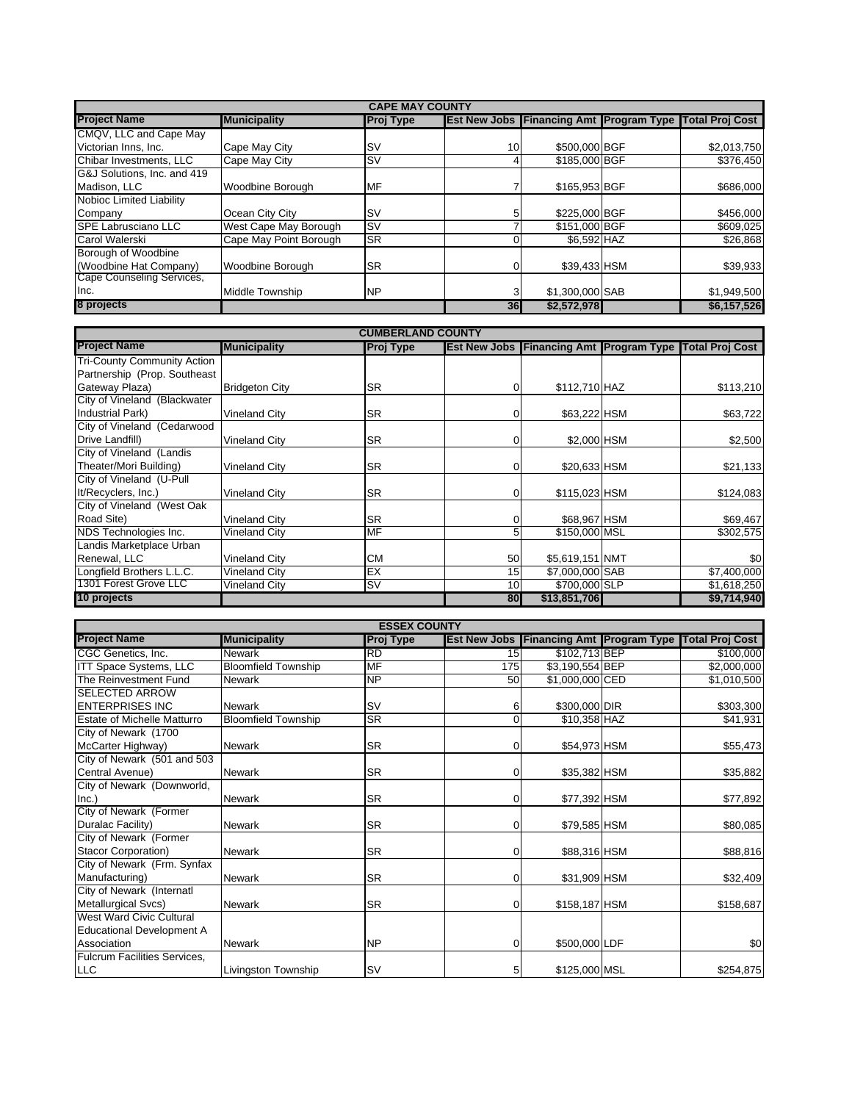| <b>CAPE MAY COUNTY</b>      |                        |                  |                     |                                   |  |                        |  |  |
|-----------------------------|------------------------|------------------|---------------------|-----------------------------------|--|------------------------|--|--|
| <b>Project Name</b>         | <b>Municipality</b>    | <b>Proj Type</b> | <b>Est New Jobs</b> | <b>Financing Amt Program Type</b> |  | <b>Total Proj Cost</b> |  |  |
| CMQV, LLC and Cape May      |                        |                  |                     |                                   |  |                        |  |  |
| Victorian Inns, Inc.        | Cape May City          | ۱s۷              | 10                  | \$500,000 BGF                     |  | \$2,013,750            |  |  |
| Chibar Investments, LLC     | Cape May City          | <b>SV</b>        |                     | \$185,000 BGF                     |  | \$376,450              |  |  |
| G&J Solutions, Inc. and 419 |                        |                  |                     |                                   |  |                        |  |  |
| Madison, LLC                | Woodbine Borough       | MF               |                     | \$165,953 BGF                     |  | \$686,000              |  |  |
| Nobioc Limited Liability    |                        |                  |                     |                                   |  |                        |  |  |
| Company                     | Ocean City City        | <b>SV</b>        |                     | \$225,000 BGF                     |  | \$456,000              |  |  |
| <b>SPE Labrusciano LLC</b>  | West Cape May Borough  | <b>SV</b>        |                     | \$151,000 BGF                     |  | \$609,025              |  |  |
| Carol Walerski              | Cape May Point Borough | <b>SR</b>        |                     | \$6,592 HAZ                       |  | \$26,868               |  |  |
| Borough of Woodbine         |                        |                  |                     |                                   |  |                        |  |  |
| (Woodbine Hat Company)      | Woodbine Borough       | <b>SR</b>        |                     | \$39,433 HSM                      |  | \$39,933               |  |  |
| Cape Counseling Services,   |                        |                  |                     |                                   |  |                        |  |  |
| Inc.                        | Middle Township        | <b>NP</b>        | 3                   | \$1,300,000 SAB                   |  | \$1,949,500            |  |  |
| 8 projects                  |                        |                  | 36                  | \$2,572,978                       |  | \$6,157,526            |  |  |

| <b>CUMBERLAND COUNTY</b>           |                       |           |          |                 |  |                                                                |  |  |
|------------------------------------|-----------------------|-----------|----------|-----------------|--|----------------------------------------------------------------|--|--|
| <b>Project Name</b>                | <b>Municipality</b>   | Proj Type |          |                 |  | <b>Est New Jobs Financing Amt Program Type Total Proj Cost</b> |  |  |
| <b>Tri-County Community Action</b> |                       |           |          |                 |  |                                                                |  |  |
| Partnership (Prop. Southeast       |                       |           |          |                 |  |                                                                |  |  |
| Gateway Plaza)                     | <b>Bridgeton City</b> | <b>SR</b> | 0        | \$112,710 HAZ   |  | \$113,210                                                      |  |  |
| City of Vineland (Blackwater       |                       |           |          |                 |  |                                                                |  |  |
| Industrial Park)                   | <b>Vineland City</b>  | <b>SR</b> | 0        | \$63,222 HSM    |  | \$63,722                                                       |  |  |
| City of Vineland (Cedarwood        |                       |           |          |                 |  |                                                                |  |  |
| Drive Landfill)                    | <b>Vineland City</b>  | <b>SR</b> | $\Omega$ | \$2,000 HSM     |  | \$2,500                                                        |  |  |
| City of Vineland (Landis           |                       |           |          |                 |  |                                                                |  |  |
| Theater/Mori Building)             | <b>Vineland City</b>  | <b>SR</b> | $\Omega$ | \$20,633 HSM    |  | \$21,133                                                       |  |  |
| City of Vineland (U-Pull           |                       |           |          |                 |  |                                                                |  |  |
| It/Recyclers, Inc.)                | <b>Vineland City</b>  | <b>SR</b> | $\Omega$ | \$115,023 HSM   |  | \$124,083                                                      |  |  |
| City of Vineland (West Oak         |                       |           |          |                 |  |                                                                |  |  |
| Road Site)                         | <b>Vineland City</b>  | <b>SR</b> | 0        | \$68,967 HSM    |  | \$69,467                                                       |  |  |
| NDS Technologies Inc.              | Vineland City         | <b>MF</b> | 5        | \$150,000 MSL   |  | \$302,575                                                      |  |  |
| Landis Marketplace Urban           |                       |           |          |                 |  |                                                                |  |  |
| Renewal, LLC                       | <b>Vineland City</b>  | <b>CM</b> | 50       | \$5,619,151 NMT |  | \$0                                                            |  |  |
| Longfield Brothers L.L.C.          | <b>Vineland City</b>  | EX        | 15       | \$7,000,000 SAB |  | \$7,400,000                                                    |  |  |
| 1301 Forest Grove LLC              | Vineland City         | <b>SV</b> | 10       | \$700,000 SLP   |  | \$1,618,250                                                    |  |  |
| 10 projects                        |                       |           | 80       | \$13,851,706    |  | \$9,714,940                                                    |  |  |

| <b>ESSEX COUNTY</b>                 |                            |           |                |                                                |  |                        |  |  |
|-------------------------------------|----------------------------|-----------|----------------|------------------------------------------------|--|------------------------|--|--|
| <b>Project Name</b>                 | <b>Municipality</b>        | Proj Type |                | <b>Est New Jobs Financing Amt Program Type</b> |  | <b>Total Proj Cost</b> |  |  |
| CGC Genetics, Inc.                  | <b>Newark</b>              | <b>RD</b> | 15             | \$102,713 BEP                                  |  | \$100,000              |  |  |
| <b>ITT Space Systems, LLC</b>       | <b>Bloomfield Township</b> | <b>MF</b> | 175            | \$3,190,554 BEP                                |  | \$2,000,000            |  |  |
| The Reinvestment Fund               | <b>Newark</b>              | <b>NP</b> | 50             | \$1,000,000 CED                                |  | \$1,010,500            |  |  |
| <b>SELECTED ARROW</b>               |                            |           |                |                                                |  |                        |  |  |
| <b>ENTERPRISES INC</b>              | <b>Newark</b>              | <b>SV</b> | 6              | \$300,000 DIR                                  |  | \$303,300              |  |  |
| <b>Estate of Michelle Matturro</b>  | <b>Bloomfield Township</b> | <b>SR</b> | $\Omega$       | \$10,358 HAZ                                   |  | \$41,931               |  |  |
| City of Newark (1700                |                            |           |                |                                                |  |                        |  |  |
| McCarter Highway)                   | <b>Newark</b>              | <b>SR</b> | $\overline{0}$ | \$54,973 HSM                                   |  | \$55,473               |  |  |
| City of Newark (501 and 503         |                            |           |                |                                                |  |                        |  |  |
| Central Avenue)                     | <b>Newark</b>              | <b>SR</b> | $\overline{0}$ | \$35,382 HSM                                   |  | \$35,882               |  |  |
| City of Newark (Downworld,          |                            |           |                |                                                |  |                        |  |  |
| Inc.)                               | <b>Newark</b>              | <b>SR</b> | $\Omega$       | \$77,392 HSM                                   |  | \$77,892               |  |  |
| City of Newark (Former              |                            |           |                |                                                |  |                        |  |  |
| Duralac Facility)                   | <b>Newark</b>              | <b>SR</b> | $\overline{0}$ | \$79,585 HSM                                   |  | \$80,085               |  |  |
| City of Newark (Former              |                            |           |                |                                                |  |                        |  |  |
| <b>Stacor Corporation)</b>          | <b>Newark</b>              | <b>SR</b> | $\Omega$       | \$88,316 HSM                                   |  | \$88,816               |  |  |
| City of Newark (Frm. Synfax         |                            |           |                |                                                |  |                        |  |  |
| Manufacturing)                      | <b>Newark</b>              | <b>SR</b> | $\overline{0}$ | \$31,909 HSM                                   |  | \$32,409               |  |  |
| City of Newark (Internatl           |                            |           |                |                                                |  |                        |  |  |
| Metallurgical Svcs)                 | <b>Newark</b>              | <b>SR</b> | $\overline{0}$ | \$158,187 HSM                                  |  | \$158,687              |  |  |
| West Ward Civic Cultural            |                            |           |                |                                                |  |                        |  |  |
| <b>Educational Development A</b>    |                            |           |                |                                                |  |                        |  |  |
| Association                         | <b>Newark</b>              | <b>NP</b> | $\overline{0}$ | \$500,000 LDF                                  |  | \$0                    |  |  |
| <b>Fulcrum Facilities Services,</b> |                            |           |                |                                                |  |                        |  |  |
| <b>LLC</b>                          | Livingston Township        | <b>SV</b> | 5              | \$125,000 MSL                                  |  | \$254,875              |  |  |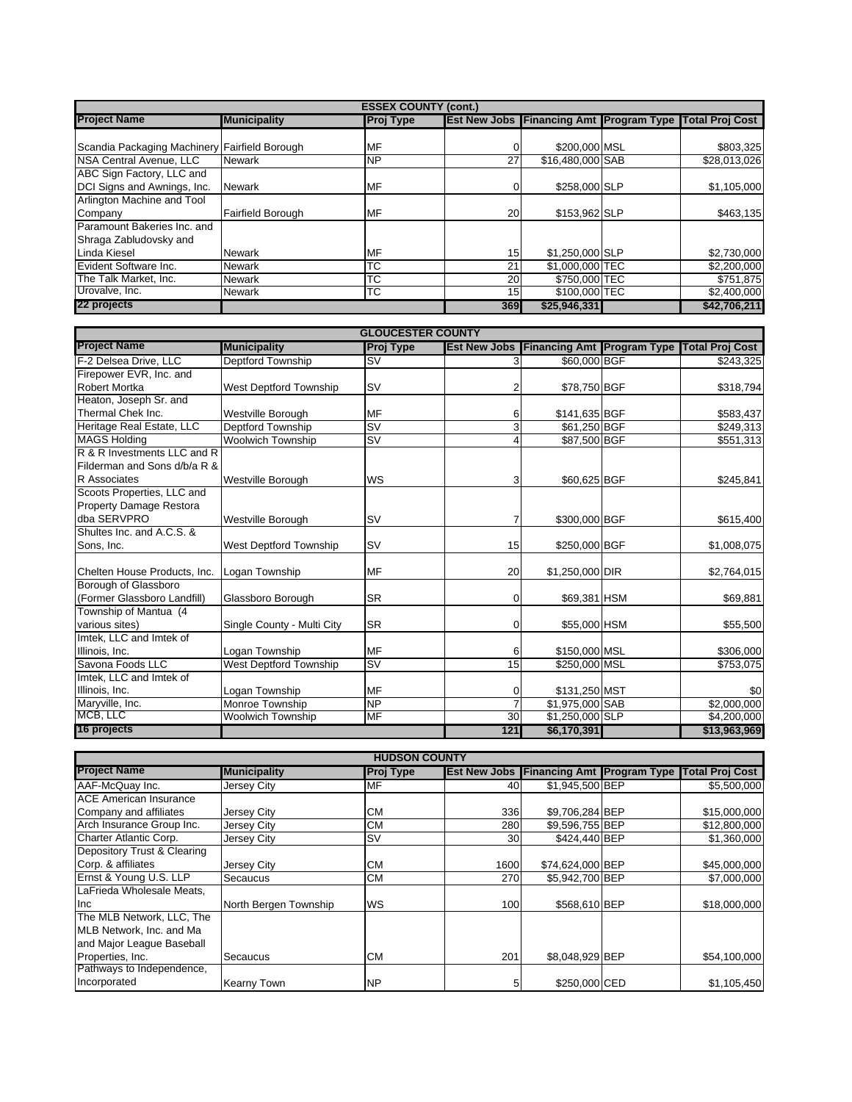| <b>ESSEX COUNTY (cont.)</b>                   |                     |                  |                     |                  |  |                                                   |  |  |
|-----------------------------------------------|---------------------|------------------|---------------------|------------------|--|---------------------------------------------------|--|--|
| <b>Project Name</b>                           | <b>Municipality</b> | <b>Proj Type</b> | <b>Est New Jobs</b> |                  |  | <b>Financing Amt Program Type Total Proj Cost</b> |  |  |
|                                               |                     |                  |                     |                  |  |                                                   |  |  |
| Scandia Packaging Machinery Fairfield Borough |                     | MF               |                     | \$200,000 MSL    |  | \$803,325                                         |  |  |
| NSA Central Avenue, LLC                       | <b>Newark</b>       | <b>NP</b>        | 27                  | \$16,480,000 SAB |  | \$28,013,026                                      |  |  |
| ABC Sign Factory, LLC and                     |                     |                  |                     |                  |  |                                                   |  |  |
| DCI Signs and Awnings, Inc.                   | <b>Newark</b>       | <b>MF</b>        |                     | \$258,000 SLP    |  | \$1,105,000                                       |  |  |
| Arlington Machine and Tool                    |                     |                  |                     |                  |  |                                                   |  |  |
| Company                                       | Fairfield Borough   | <b>MF</b>        | 20                  | \$153,962 SLP    |  | \$463,135                                         |  |  |
| Paramount Bakeries Inc. and                   |                     |                  |                     |                  |  |                                                   |  |  |
| Shraga Zabludovsky and                        |                     |                  |                     |                  |  |                                                   |  |  |
| Linda Kiesel                                  | <b>Newark</b>       | MF               | 15                  | \$1,250,000 SLP  |  | \$2,730,000                                       |  |  |
| Evident Software Inc.                         | <b>Newark</b>       | ТC               | 21                  | \$1,000,000 TEC  |  | \$2,200,000                                       |  |  |
| The Talk Market. Inc.                         | <b>Newark</b>       | ТC               | <b>20</b>           | \$750,000 TEC    |  | \$751.875                                         |  |  |
| Urovalve, Inc.                                | <b>Newark</b>       | ТC               | 15                  | \$100,000 TEC    |  | \$2,400,000                                       |  |  |
| 22 projects                                   |                     |                  | 369                 | \$25,946,331     |  | \$42,706,211                                      |  |  |

| <b>GLOUCESTER COUNTY</b>       |                            |                          |          |                 |  |                                                               |  |  |
|--------------------------------|----------------------------|--------------------------|----------|-----------------|--|---------------------------------------------------------------|--|--|
| <b>Project Name</b>            | <b>Municipality</b>        | <b>Proj Type</b>         |          |                 |  | Est New Jobs   Financing Amt   Program Type   Total Proj Cost |  |  |
| F-2 Delsea Drive, LLC          | Deptford Township          | $\overline{\mathsf{sv}}$ | 3        | \$60,000 BGF    |  | \$243,325                                                     |  |  |
| Firepower EVR, Inc. and        |                            |                          |          |                 |  |                                                               |  |  |
| <b>Robert Mortka</b>           | West Deptford Township     | <b>SV</b>                | 2        | \$78,750 BGF    |  | \$318,794                                                     |  |  |
| Heaton, Joseph Sr. and         |                            |                          |          |                 |  |                                                               |  |  |
| Thermal Chek Inc.              | Westville Borough          | MF                       | 6        | \$141,635 BGF   |  | \$583,437                                                     |  |  |
| Heritage Real Estate, LLC      | Deptford Township          | <b>SV</b>                | 3        | \$61,250 BGF    |  | \$249,313                                                     |  |  |
| <b>MAGS Holding</b>            | <b>Woolwich Township</b>   | S <sub>V</sub>           | 4        | \$87,500 BGF    |  | \$551,313                                                     |  |  |
| R & R Investments LLC and R    |                            |                          |          |                 |  |                                                               |  |  |
| Filderman and Sons d/b/a R &   |                            |                          |          |                 |  |                                                               |  |  |
| <b>R</b> Associates            | <b>Westville Borough</b>   | WS                       | 3        | \$60,625 BGF    |  | \$245,841                                                     |  |  |
| Scoots Properties, LLC and     |                            |                          |          |                 |  |                                                               |  |  |
| <b>Property Damage Restora</b> |                            |                          |          |                 |  |                                                               |  |  |
| dba SERVPRO                    | Westville Borough          | <b>SV</b>                |          | \$300,000 BGF   |  | \$615,400                                                     |  |  |
| Shultes Inc. and A.C.S. &      |                            |                          |          |                 |  |                                                               |  |  |
| Sons, Inc.                     | West Deptford Township     | <b>SV</b>                | 15       | \$250,000 BGF   |  | \$1,008,075                                                   |  |  |
|                                |                            |                          |          |                 |  |                                                               |  |  |
| Chelten House Products, Inc.   | Logan Township             | MF                       | 20       | \$1,250,000 DIR |  | \$2,764,015                                                   |  |  |
| Borough of Glassboro           |                            |                          |          |                 |  |                                                               |  |  |
| (Former Glassboro Landfill)    | Glassboro Borough          | <b>SR</b>                | $\Omega$ | \$69,381 HSM    |  | \$69,881                                                      |  |  |
| Township of Mantua (4          |                            |                          |          |                 |  |                                                               |  |  |
| various sites)                 | Single County - Multi City | <b>SR</b>                | $\Omega$ | \$55,000 HSM    |  | \$55,500                                                      |  |  |
| Imtek, LLC and Imtek of        |                            |                          |          |                 |  |                                                               |  |  |
| Illinois, Inc.                 | Logan Township             | <b>MF</b>                | 6        | \$150,000 MSL   |  | \$306,000                                                     |  |  |
| Savona Foods LLC               | West Deptford Township     | <b>SV</b>                | 15       | \$250,000 MSL   |  | \$753,075                                                     |  |  |
| Imtek, LLC and Imtek of        |                            |                          |          |                 |  |                                                               |  |  |
| Illinois, Inc.                 | Logan Township             | MF                       | $\Omega$ | \$131,250 MST   |  | \$0                                                           |  |  |
| Maryville, Inc.                | Monroe Township            | <b>NP</b>                |          | \$1,975,000 SAB |  | \$2,000,000                                                   |  |  |
| MCB, LLC                       | <b>Woolwich Township</b>   | <b>MF</b>                | 30       | \$1,250,000 SLP |  | \$4,200,000                                                   |  |  |
| 16 projects                    |                            |                          | 121      | \$6,170,391     |  | \$13,963,969                                                  |  |  |

| <b>HUDSON COUNTY</b>          |                       |                  |      |                  |  |                                                                |  |  |
|-------------------------------|-----------------------|------------------|------|------------------|--|----------------------------------------------------------------|--|--|
| <b>Project Name</b>           | <b>Municipality</b>   | <b>Proj Type</b> |      |                  |  | <b>Est New Jobs Financing Amt Program Type Total Proj Cost</b> |  |  |
| AAF-McQuay Inc.               | Jersey City           | MF               | 40   | \$1,945,500 BEP  |  | \$5,500,000                                                    |  |  |
| <b>ACE American Insurance</b> |                       |                  |      |                  |  |                                                                |  |  |
| Company and affiliates        | Jersey City           | CМ               | 336  | \$9,706,284 BEP  |  | \$15,000,000                                                   |  |  |
| Arch Insurance Group Inc.     | Jersey City           | <b>CM</b>        | 280  | \$9,596,755 BEP  |  | \$12,800,000                                                   |  |  |
| Charter Atlantic Corp.        | Jersey City           | <b>SV</b>        | 30   | \$424,440 BEP    |  | \$1,360,000                                                    |  |  |
| Depository Trust & Clearing   |                       |                  |      |                  |  |                                                                |  |  |
| Corp. & affiliates            | Jersey City           | <b>CM</b>        | 1600 | \$74,624,000 BEP |  | \$45,000,000                                                   |  |  |
| Ernst & Young U.S. LLP        | Secaucus              | <b>CM</b>        | 270  | \$5,942,700 BEP  |  | \$7,000,000                                                    |  |  |
| LaFrieda Wholesale Meats,     |                       |                  |      |                  |  |                                                                |  |  |
| <b>Inc</b>                    | North Bergen Township | <b>WS</b>        | 100  | \$568,610 BEP    |  | \$18,000,000                                                   |  |  |
| The MLB Network, LLC, The     |                       |                  |      |                  |  |                                                                |  |  |
| MLB Network, Inc. and Ma      |                       |                  |      |                  |  |                                                                |  |  |
| and Major League Baseball     |                       |                  |      |                  |  |                                                                |  |  |
| Properties, Inc.              | Secaucus              | CМ               | 201  | \$8,048,929 BEP  |  | \$54,100,000                                                   |  |  |
| Pathways to Independence,     |                       |                  |      |                  |  |                                                                |  |  |
| Incorporated                  | <b>Kearny Town</b>    | <b>NP</b>        | 51   | \$250,000 CED    |  | \$1,105,450                                                    |  |  |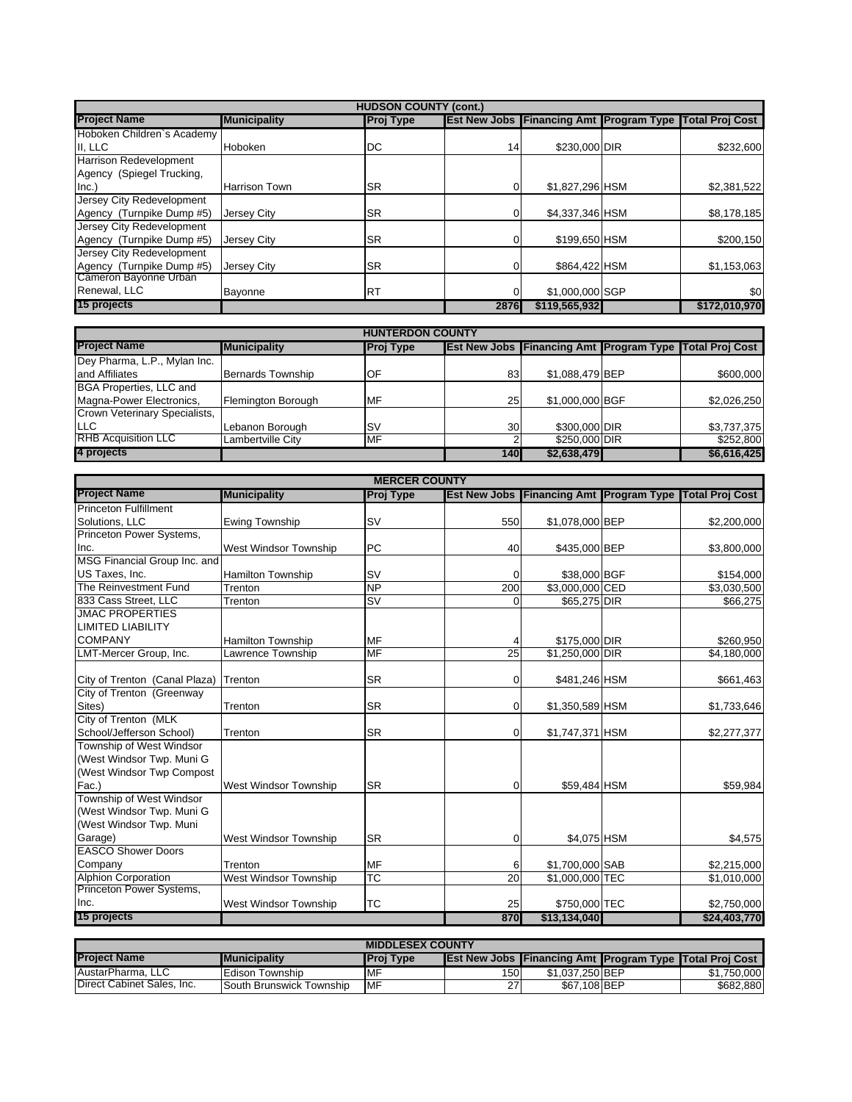|                            | <b>HUDSON COUNTY (cont.)</b> |                  |                     |                 |  |                                                   |  |  |
|----------------------------|------------------------------|------------------|---------------------|-----------------|--|---------------------------------------------------|--|--|
| <b>Project Name</b>        | <b>Municipality</b>          | <b>Proj Type</b> | <b>Est New Jobs</b> |                 |  | <b>Financing Amt Program Type Total Proj Cost</b> |  |  |
| Hoboken Children's Academy |                              |                  |                     |                 |  |                                                   |  |  |
| II, LLC                    | <b>Hoboken</b>               | DC               | 14                  | \$230,000 DIR   |  | \$232,600                                         |  |  |
| Harrison Redevelopment     |                              |                  |                     |                 |  |                                                   |  |  |
| Agency (Spiegel Trucking,  |                              |                  |                     |                 |  |                                                   |  |  |
| Inc.)                      | <b>Harrison Town</b>         | <b>SR</b>        |                     | \$1,827,296 HSM |  | \$2,381,522                                       |  |  |
| Jersey City Redevelopment  |                              |                  |                     |                 |  |                                                   |  |  |
| Agency (Turnpike Dump #5)  | <b>Jersey City</b>           | <b>SR</b>        |                     | \$4,337,346 HSM |  | \$8,178,185                                       |  |  |
| Jersey City Redevelopment  |                              |                  |                     |                 |  |                                                   |  |  |
| Agency (Turnpike Dump #5)  | Jersey City                  | <b>SR</b>        |                     | \$199,650 HSM   |  | \$200,150                                         |  |  |
| Jersey City Redevelopment  |                              |                  |                     |                 |  |                                                   |  |  |
| Agency (Turnpike Dump #5)  | <b>Jersey City</b>           | <b>SR</b>        |                     | \$864.422 HSM   |  | \$1,153,063                                       |  |  |
| Cameron Bayonne Urban      |                              |                  |                     |                 |  |                                                   |  |  |
| Renewal, LLC               | Bayonne                      | <b>RT</b>        |                     | \$1,000,000 SGP |  | \$0                                               |  |  |
| 15 projects                |                              |                  | 2876                | \$119,565,932   |  | \$172,010,970                                     |  |  |

| <b>HUNTERDON COUNTY</b>        |                          |                  |                 |                 |  |                                                                |  |  |
|--------------------------------|--------------------------|------------------|-----------------|-----------------|--|----------------------------------------------------------------|--|--|
| <b>Project Name</b>            | <b>Municipality</b>      | <b>Proj Type</b> |                 |                 |  | <b>Est New Jobs Financing Amt Program Type Total Proj Cost</b> |  |  |
| Dey Pharma, L.P., Mylan Inc.   |                          |                  |                 |                 |  |                                                                |  |  |
| land Affiliates                | <b>Bernards Township</b> | <b>IOF</b>       | 83              | \$1,088,479 BEP |  | \$600,000                                                      |  |  |
| <b>BGA Properties, LLC and</b> |                          |                  |                 |                 |  |                                                                |  |  |
| Magna-Power Electronics,       | Flemington Borough       | <b>MF</b>        | 25              | \$1,000,000 BGF |  | \$2,026,250                                                    |  |  |
| Crown Veterinary Specialists,  |                          |                  |                 |                 |  |                                                                |  |  |
| <b>ILLC</b>                    | Lebanon Borough          | Is۷              | 30 <sup>°</sup> | \$300,000 DIR   |  | \$3,737,375                                                    |  |  |
| <b>RHB Acquisition LLC</b>     | Lambertville City        | MF               |                 | \$250,000 DIR   |  | \$252,800                                                      |  |  |
| 4 projects                     |                          |                  | 140             | \$2,638,479     |  | \$6,616,425                                                    |  |  |

|                                       |                              | <b>MERCER COUNTY</b>              |                 |                 |                                                         |
|---------------------------------------|------------------------------|-----------------------------------|-----------------|-----------------|---------------------------------------------------------|
| <b>Project Name</b>                   | <b>Municipality</b>          | <b>Proj Type</b>                  |                 |                 | Est New Jobs Financing Amt Program Type Total Proj Cost |
| <b>Princeton Fulfillment</b>          |                              |                                   |                 |                 |                                                         |
| Solutions, LLC                        | <b>Ewing Township</b>        | <b>SV</b>                         | 550             | \$1,078,000 BEP | \$2,200,000                                             |
| Princeton Power Systems,              |                              |                                   |                 |                 |                                                         |
| Inc.                                  | <b>West Windsor Township</b> | <b>PC</b>                         | 40              | \$435,000 BEP   | \$3,800,000                                             |
| MSG Financial Group Inc. and          |                              |                                   |                 |                 |                                                         |
| US Taxes, Inc.                        | <b>Hamilton Township</b>     | SV                                | 0               | \$38,000 BGF    | \$154,000                                               |
| The Reinvestment Fund                 | Trenton                      | <b>NP</b>                         | 200             | \$3,000,000 CED | \$3,030,500                                             |
| 833 Cass Street, LLC                  | Trenton                      | $\overline{\mathsf{S}\mathsf{V}}$ | $\Omega$        | \$65,275 DIR    | \$66,275                                                |
| <b>JMAC PROPERTIES</b>                |                              |                                   |                 |                 |                                                         |
| <b>LIMITED LIABILITY</b>              |                              |                                   |                 |                 |                                                         |
| <b>COMPANY</b>                        | <b>Hamilton Township</b>     | MF                                |                 | \$175,000 DIR   | \$260,950                                               |
| LMT-Mercer Group, Inc.                | Lawrence Township            | <b>MF</b>                         | 25              | \$1,250,000 DIR | \$4,180,000                                             |
|                                       |                              |                                   |                 |                 |                                                         |
| City of Trenton (Canal Plaza) Trenton |                              | <b>SR</b>                         | 0               | \$481,246 HSM   | \$661,463                                               |
| City of Trenton (Greenway             |                              |                                   |                 |                 |                                                         |
| Sites)                                | Trenton                      | <b>SR</b>                         | $\Omega$        | \$1,350,589 HSM | \$1,733,646                                             |
| City of Trenton (MLK                  |                              |                                   |                 |                 |                                                         |
| School/Jefferson School)              | Trenton                      | <b>SR</b>                         | 0               | \$1,747,371 HSM | \$2,277,377                                             |
| Township of West Windsor              |                              |                                   |                 |                 |                                                         |
| (West Windsor Twp. Muni G             |                              |                                   |                 |                 |                                                         |
| (West Windsor Twp Compost             |                              |                                   |                 |                 |                                                         |
| Fac.)                                 | <b>West Windsor Township</b> | <b>SR</b>                         | $\Omega$        | \$59,484 HSM    | \$59,984                                                |
| Township of West Windsor              |                              |                                   |                 |                 |                                                         |
| (West Windsor Twp. Muni G             |                              |                                   |                 |                 |                                                         |
| (West Windsor Twp. Muni               |                              |                                   |                 |                 |                                                         |
| Garage)                               | West Windsor Township        | <b>SR</b>                         | 0               | \$4,075 HSM     | \$4,575                                                 |
| <b>EASCO Shower Doors</b>             |                              |                                   |                 |                 |                                                         |
| Company                               | Trenton                      | <b>MF</b>                         | 6               | \$1,700,000 SAB | \$2,215,000                                             |
| <b>Alphion Corporation</b>            | West Windsor Township        | <b>TC</b>                         | $\overline{20}$ | \$1,000,000 TEC | \$1,010,000                                             |
| Princeton Power Systems,              |                              |                                   |                 |                 |                                                         |
| Inc.                                  | West Windsor Township        | <b>TC</b>                         | 25              | \$750,000 TEC   | \$2,750,000                                             |
| 15 projects                           |                              |                                   | 870             | \$13,134,040    | \$24,403,770                                            |

| <b>MIDDLESEX COUNTY</b>    |                          |                  |      |                 |  |                                                                |  |
|----------------------------|--------------------------|------------------|------|-----------------|--|----------------------------------------------------------------|--|
| <b>Project Name</b>        | <b>IMunicipality</b>     | <b>Proj Type</b> |      |                 |  | <b>Est New Jobs Financing Amt Program Type Total Proj Cost</b> |  |
| AustarPharma, LLC          | Edison Township          | <b>MF</b>        | 1501 | \$1.037.250 BEP |  | \$1.750.000                                                    |  |
| Direct Cabinet Sales, Inc. | South Brunswick Township | <b>IMF</b>       | 27   | \$67.108 BEP    |  | \$682,880                                                      |  |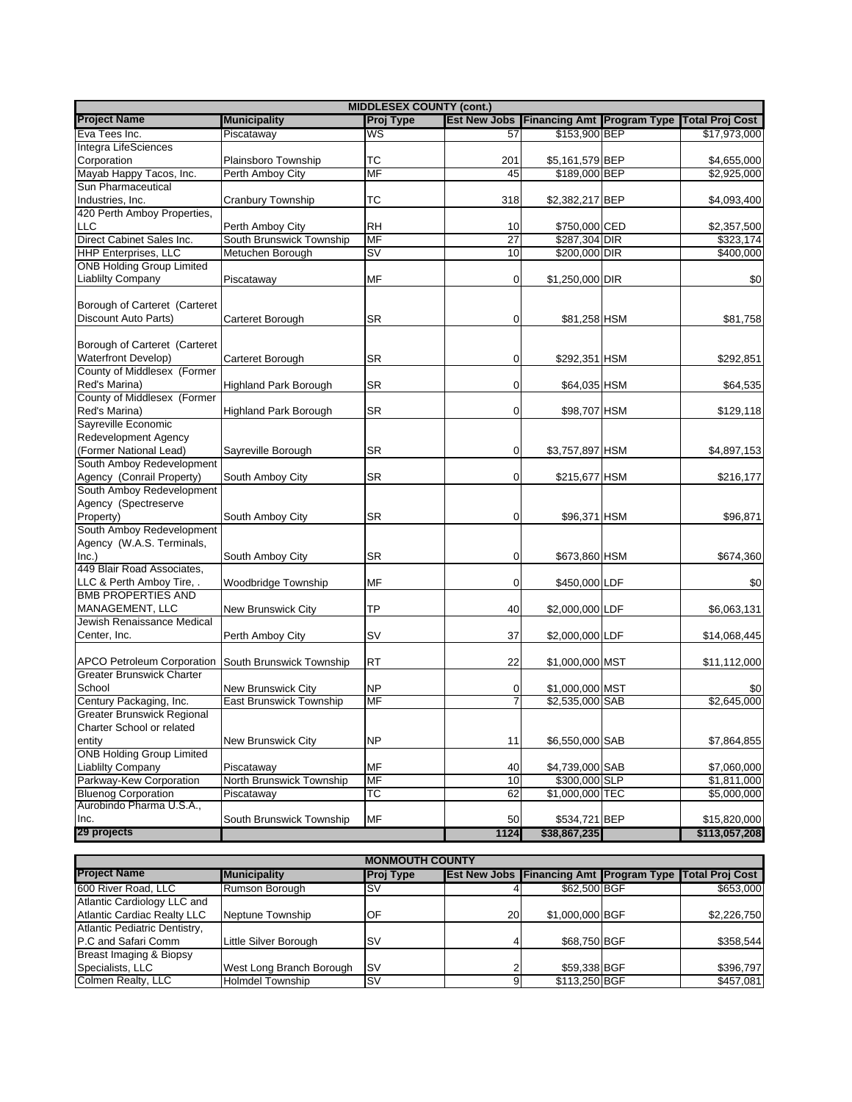| <b>MIDDLESEX COUNTY (cont.)</b>                     |                                |                                   |                 |                                                    |  |                        |  |  |
|-----------------------------------------------------|--------------------------------|-----------------------------------|-----------------|----------------------------------------------------|--|------------------------|--|--|
| <b>Project Name</b>                                 | <b>Municipality</b>            | Proj Type                         |                 | <b>Est New Jobs   Financing Amt   Program Type</b> |  | <b>Total Proj Cost</b> |  |  |
| Eva Tees Inc.                                       | Piscataway                     | WS                                | 57              | \$153,900 BEP                                      |  | \$17,973,000           |  |  |
| Integra LifeSciences                                |                                |                                   |                 |                                                    |  |                        |  |  |
| Corporation                                         | Plainsboro Township            | ТC                                | 201             | \$5,161,579 BEP                                    |  | \$4,655,000            |  |  |
| Mayab Happy Tacos, Inc.                             | Perth Amboy City               | <b>MF</b>                         | 45              | \$189,000 BEP                                      |  | \$2,925,000            |  |  |
| Sun Pharmaceutical                                  |                                |                                   |                 |                                                    |  |                        |  |  |
| Industries, Inc.                                    | Cranbury Township              | <b>TC</b>                         | 318             | \$2,382,217 BEP                                    |  | \$4,093,400            |  |  |
| 420 Perth Amboy Properties,                         |                                |                                   |                 |                                                    |  |                        |  |  |
| LLC                                                 | Perth Amboy City               | <b>RH</b>                         | 10              | \$750,000 CED                                      |  | \$2,357,500            |  |  |
| Direct Cabinet Sales Inc.                           | South Brunswick Township       | MF                                | $\overline{27}$ | \$287,304 DIR                                      |  | \$323,174              |  |  |
| <b>HHP Enterprises, LLC</b>                         | Metuchen Borough               | $\overline{\mathsf{S}\mathsf{V}}$ | 10              | \$200,000 DIR                                      |  | \$400,000              |  |  |
| <b>ONB Holding Group Limited</b>                    |                                |                                   |                 |                                                    |  |                        |  |  |
| <b>Liablilty Company</b>                            | Piscataway                     | MF                                | $\overline{0}$  | \$1,250,000 DIR                                    |  | \$0                    |  |  |
| Borough of Carteret (Carteret                       |                                |                                   |                 |                                                    |  |                        |  |  |
| Discount Auto Parts)                                | <b>Carteret Borough</b>        | <b>SR</b>                         | $\mathbf 0$     | \$81,258 HSM                                       |  | \$81,758               |  |  |
|                                                     |                                |                                   |                 |                                                    |  |                        |  |  |
| Borough of Carteret (Carteret                       |                                |                                   |                 |                                                    |  |                        |  |  |
| <b>Waterfront Develop)</b>                          | Carteret Borough               | SR                                | $\overline{0}$  | \$292,351 HSM                                      |  | \$292,851              |  |  |
| County of Middlesex (Former                         |                                |                                   |                 |                                                    |  |                        |  |  |
| Red's Marina)                                       | <b>Highland Park Borough</b>   | SR                                | $\overline{0}$  | \$64,035 HSM                                       |  | \$64,535               |  |  |
| County of Middlesex (Former                         |                                |                                   |                 |                                                    |  |                        |  |  |
| Red's Marina)                                       | <b>Highland Park Borough</b>   | <b>SR</b>                         | $\overline{0}$  | \$98,707 HSM                                       |  | \$129,118              |  |  |
| Sayreville Economic                                 |                                |                                   |                 |                                                    |  |                        |  |  |
| Redevelopment Agency                                |                                |                                   |                 |                                                    |  |                        |  |  |
| (Former National Lead)                              | Sayreville Borough             | SR                                | $\overline{0}$  | \$3,757,897 HSM                                    |  | \$4,897,153            |  |  |
| South Amboy Redevelopment                           |                                |                                   |                 |                                                    |  |                        |  |  |
| Agency (Conrail Property)                           | South Amboy City               | SR                                | 0               | \$215,677 HSM                                      |  | \$216,177              |  |  |
| South Amboy Redevelopment                           |                                |                                   |                 |                                                    |  |                        |  |  |
| Agency (Spectreserve                                |                                |                                   |                 |                                                    |  |                        |  |  |
| Property)                                           | South Amboy City               | SR                                | $\overline{0}$  | \$96,371 HSM                                       |  | \$96,871               |  |  |
| South Amboy Redevelopment                           |                                |                                   |                 |                                                    |  |                        |  |  |
| Agency (W.A.S. Terminals,                           |                                |                                   |                 |                                                    |  |                        |  |  |
| Inc.)                                               | South Amboy City               | SR                                | $\overline{0}$  | \$673,860 HSM                                      |  | \$674,360              |  |  |
| 449 Blair Road Associates,                          |                                |                                   |                 |                                                    |  |                        |  |  |
| LLC & Perth Amboy Tire, .                           | Woodbridge Township            | MF                                | $\mathbf 0$     | \$450,000 LDF                                      |  | \$0                    |  |  |
| <b>BMB PROPERTIES AND</b>                           |                                |                                   |                 |                                                    |  |                        |  |  |
| MANAGEMENT, LLC                                     | New Brunswick City             | TP                                | 40              | \$2,000,000 LDF                                    |  | \$6,063,131            |  |  |
| Jewish Renaissance Medical                          |                                |                                   |                 |                                                    |  |                        |  |  |
| Center, Inc.                                        | Perth Amboy City               | <b>SV</b>                         | 37              | \$2,000,000 LDF                                    |  | \$14,068,445           |  |  |
| APCO Petroleum Corporation South Brunswick Township |                                | <b>RT</b>                         | 22              | \$1,000,000 MST                                    |  | \$11,112,000           |  |  |
| <b>Greater Brunswick Charter</b>                    |                                |                                   |                 |                                                    |  |                        |  |  |
| School                                              | New Brunswick City             | <b>NP</b>                         | 0               | \$1,000,000 MST                                    |  | \$0                    |  |  |
| Century Packaging, Inc.                             | <b>East Brunswick Township</b> | MF                                | 7               | \$2,535,000 SAB                                    |  | \$2,645,000            |  |  |
| <b>Greater Brunswick Regional</b>                   |                                |                                   |                 |                                                    |  |                        |  |  |
| Charter School or related                           |                                |                                   |                 |                                                    |  |                        |  |  |
| entity                                              | New Brunswick City             | <b>NP</b>                         | 11              | \$6,550,000 SAB                                    |  | \$7,864,855            |  |  |
| <b>ONB Holding Group Limited</b>                    |                                |                                   |                 |                                                    |  |                        |  |  |
| <b>Liablilty Company</b>                            | Piscataway                     | MF                                | 40              | \$4,739,000 SAB                                    |  | \$7,060,000            |  |  |
| Parkway-Kew Corporation                             | North Brunswick Township       | MF                                | 10              | \$300,000 SLP                                      |  | \$1,811,000            |  |  |
| <b>Bluenog Corporation</b>                          | Piscataway                     | <b>TC</b>                         | 62              | \$1,000,000 TEC                                    |  | \$5,000,000            |  |  |
| Aurobindo Pharma U.S.A.,                            |                                |                                   |                 |                                                    |  |                        |  |  |
| Inc.                                                | South Brunswick Township       | MF                                | 50              | \$534,721 BEP                                      |  | \$15,820,000           |  |  |
| 29 projects                                         |                                |                                   | 1124            | \$38,867,235                                       |  | \$113,057,208          |  |  |
|                                                     |                                |                                   |                 |                                                    |  |                        |  |  |

|                               | <b>MONMOUTH COUNTY</b>   |                  |    |                 |  |                                                                |  |  |  |  |
|-------------------------------|--------------------------|------------------|----|-----------------|--|----------------------------------------------------------------|--|--|--|--|
| <b>Project Name</b>           | <b>Municipality</b>      | <b>Proj Type</b> |    |                 |  | <b>Est New Jobs Financing Amt Program Type Total Proj Cost</b> |  |  |  |  |
| 600 River Road, LLC           | Rumson Borough           | ۱SV              |    | \$62,500 BGF    |  | \$653,000                                                      |  |  |  |  |
| Atlantic Cardiology LLC and   |                          |                  |    |                 |  |                                                                |  |  |  |  |
| Atlantic Cardiac Realty LLC   | Neptune Township         | ЮF               | 20 | \$1,000,000 BGF |  | \$2,226,750                                                    |  |  |  |  |
| Atlantic Pediatric Dentistry, |                          |                  |    |                 |  |                                                                |  |  |  |  |
| P.C and Safari Comm           | Little Silver Borough    | <b>SV</b>        |    | \$68,750 BGF    |  | \$358.544                                                      |  |  |  |  |
| Breast Imaging & Biopsy       |                          |                  |    |                 |  |                                                                |  |  |  |  |
| Specialists, LLC              | West Long Branch Borough | <b>ISV</b>       |    | \$59,338 BGF    |  | \$396.797                                                      |  |  |  |  |
| Colmen Realty, LLC            | <b>Holmdel Township</b>  | ls۷              |    | \$113,250 BGF   |  | \$457.081                                                      |  |  |  |  |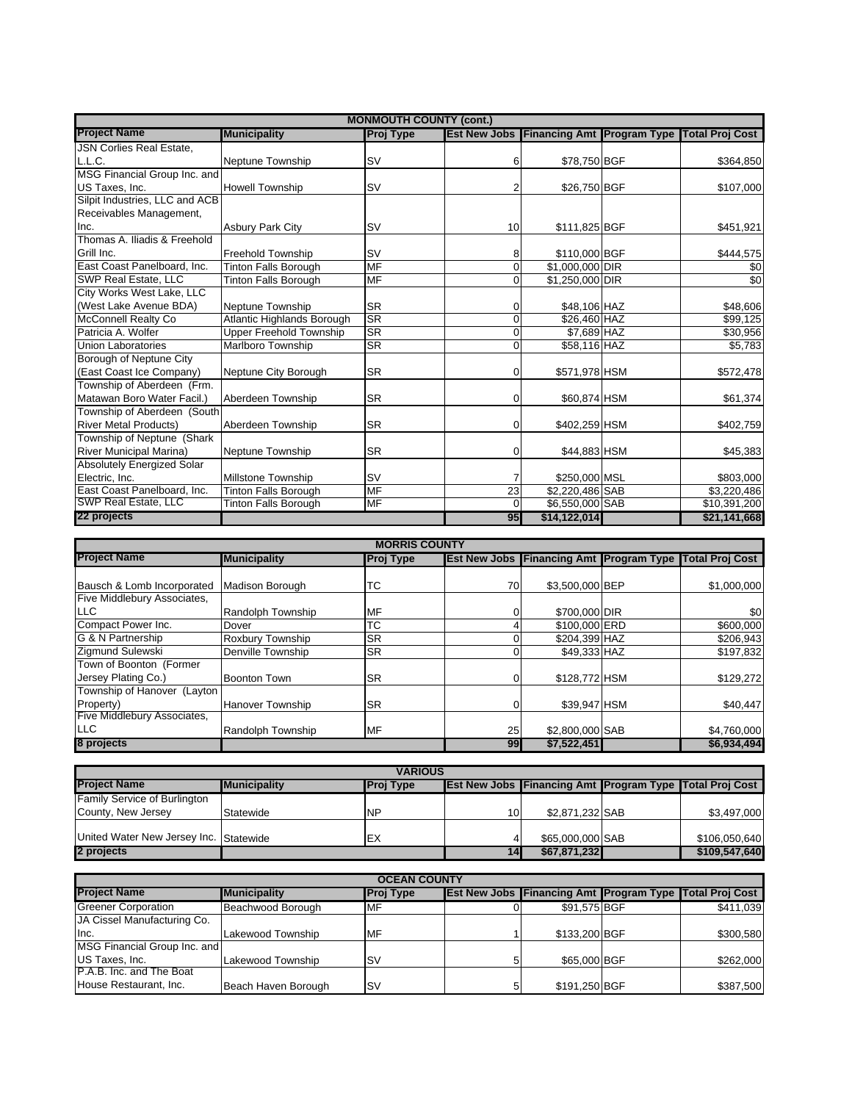| <b>MONMOUTH COUNTY (cont.)</b>  |                                |           |    |                 |  |                                                         |  |  |
|---------------------------------|--------------------------------|-----------|----|-----------------|--|---------------------------------------------------------|--|--|
| <b>Project Name</b>             | <b>Municipality</b>            | Proj Type |    |                 |  | Est New Jobs Financing Amt Program Type Total Proj Cost |  |  |
| <b>JSN Corlies Real Estate.</b> |                                |           |    |                 |  |                                                         |  |  |
| L.L.C.                          | Neptune Township               | <b>SV</b> | 6  | \$78,750 BGF    |  | \$364,850                                               |  |  |
| MSG Financial Group Inc. and    |                                |           |    |                 |  |                                                         |  |  |
| US Taxes, Inc.                  | <b>Howell Township</b>         | <b>SV</b> |    | \$26,750 BGF    |  | \$107,000                                               |  |  |
| Silpit Industries, LLC and ACB  |                                |           |    |                 |  |                                                         |  |  |
| Receivables Management,         |                                |           |    |                 |  |                                                         |  |  |
| Inc.                            | <b>Asbury Park City</b>        | <b>SV</b> | 10 | \$111,825 BGF   |  | \$451,921                                               |  |  |
| Thomas A. Iliadis & Freehold    |                                |           |    |                 |  |                                                         |  |  |
| Grill Inc.                      | <b>Freehold Township</b>       | <b>SV</b> | 8  | \$110,000 BGF   |  | \$444,575                                               |  |  |
| East Coast Panelboard, Inc.     | <b>Tinton Falls Borough</b>    | <b>MF</b> | 0  | \$1,000,000 DIR |  | \$0                                                     |  |  |
| <b>SWP Real Estate, LLC</b>     | <b>Tinton Falls Borough</b>    | MF        | 0  | \$1,250,000 DIR |  | \$0                                                     |  |  |
| City Works West Lake, LLC       |                                |           |    |                 |  |                                                         |  |  |
| (West Lake Avenue BDA)          | Neptune Township               | <b>SR</b> | 0  | \$48,106 HAZ    |  | \$48,606                                                |  |  |
| <b>McConnell Realty Co</b>      | Atlantic Highlands Borough     | <b>SR</b> | 0  | \$26,460 HAZ    |  | \$99,125                                                |  |  |
| Patricia A. Wolfer              | <b>Upper Freehold Township</b> | SR        | 0  | \$7,689 HAZ     |  | \$30,956                                                |  |  |
| <b>Union Laboratories</b>       | <b>Marlboro Township</b>       | <b>SR</b> | 0  | \$58,116 HAZ    |  | \$5,783                                                 |  |  |
| Borough of Neptune City         |                                |           |    |                 |  |                                                         |  |  |
| (East Coast Ice Company)        | Neptune City Borough           | <b>SR</b> | 0  | \$571,978 HSM   |  | \$572,478                                               |  |  |
| Township of Aberdeen (Frm.      |                                |           |    |                 |  |                                                         |  |  |
| Matawan Boro Water Facil.)      | Aberdeen Township              | <b>SR</b> | 0  | \$60,874 HSM    |  | \$61,374                                                |  |  |
| Township of Aberdeen (South     |                                |           |    |                 |  |                                                         |  |  |
| <b>River Metal Products)</b>    | Aberdeen Township              | <b>SR</b> | 0  | \$402,259 HSM   |  | \$402,759                                               |  |  |
| Township of Neptune (Shark      |                                |           |    |                 |  |                                                         |  |  |
| River Municipal Marina)         | Neptune Township               | <b>SR</b> | 0  | \$44,883 HSM    |  | \$45,383                                                |  |  |
| Absolutely Energized Solar      |                                |           |    |                 |  |                                                         |  |  |
| Electric, Inc.                  | Millstone Township             | <b>SV</b> |    | \$250,000 MSL   |  | \$803,000                                               |  |  |
| East Coast Panelboard, Inc.     | Tinton Falls Borough           | MF        | 23 | \$2,220,486 SAB |  | \$3,220,486                                             |  |  |
| SWP Real Estate, LLC            | <b>Tinton Falls Borough</b>    | MF        | 0  | \$6,550,000 SAB |  | \$10,391,200                                            |  |  |
| 22 projects                     |                                |           | 95 | \$14,122,014    |  | \$21,141,668                                            |  |  |

| <b>MORRIS COUNTY</b>        |                         |                  |    |                 |  |                                                                |  |  |
|-----------------------------|-------------------------|------------------|----|-----------------|--|----------------------------------------------------------------|--|--|
| <b>Project Name</b>         | <b>Municipality</b>     | <b>Proj Type</b> |    |                 |  | <b>Est New Jobs Financing Amt Program Type Total Proj Cost</b> |  |  |
|                             |                         |                  |    |                 |  |                                                                |  |  |
| Bausch & Lomb Incorporated  | Madison Borough         | ТC               | 70 | \$3,500,000 BEP |  | \$1,000,000                                                    |  |  |
| Five Middlebury Associates, |                         |                  |    |                 |  |                                                                |  |  |
| <b>LLC</b>                  | Randolph Township       | <b>MF</b>        | 0. | \$700,000 DIR   |  | \$0                                                            |  |  |
| Compact Power Inc.          | Dover                   | ТC               |    | \$100,000 ERD   |  | \$600,000                                                      |  |  |
| G & N Partnership           | Roxbury Township        | <b>SR</b>        |    | \$204,399 HAZ   |  | \$206,943                                                      |  |  |
| Zigmund Sulewski            | Denville Township       | <b>SR</b>        |    | \$49,333 HAZ    |  | \$197,832                                                      |  |  |
| Town of Boonton (Former     |                         |                  |    |                 |  |                                                                |  |  |
| Jersey Plating Co.)         | Boonton Town            | lSR.             | 0  | \$128,772 HSM   |  | \$129,272                                                      |  |  |
| Township of Hanover (Layton |                         |                  |    |                 |  |                                                                |  |  |
| Property)                   | <b>Hanover Township</b> | <b>SR</b>        |    | \$39,947 HSM    |  | \$40,447                                                       |  |  |
| Five Middlebury Associates, |                         |                  |    |                 |  |                                                                |  |  |
| <b>LLC</b>                  | Randolph Township       | MF               | 25 | \$2,800,000 SAB |  | \$4,760,000                                                    |  |  |
| 8 projects                  |                         |                  | 99 | \$7.522.451     |  | \$6,934,494                                                    |  |  |

| <b>VARIOUS</b>                         |                      |                  |    |                  |  |                                                                |  |  |
|----------------------------------------|----------------------|------------------|----|------------------|--|----------------------------------------------------------------|--|--|
| <b>Project Name</b>                    | <b>IMunicipality</b> | <b>Proj Type</b> |    |                  |  | <b>Est New Jobs Financing Amt Program Type Total Proj Cost</b> |  |  |
| <b>Family Service of Burlington</b>    |                      |                  |    |                  |  |                                                                |  |  |
| County, New Jersey                     | Statewide            | <b>NP</b>        | 10 | \$2.871.232 SAB  |  | \$3,497,000                                                    |  |  |
|                                        |                      |                  |    |                  |  |                                                                |  |  |
| United Water New Jersey Inc. Statewide |                      | IEX              |    | \$65,000,000 SAB |  | \$106,050,640                                                  |  |  |
| 2 projects                             |                      |                  | 14 | \$67,871,232     |  | \$109,547,640                                                  |  |  |

| <b>OCEAN COUNTY</b>          |                     |                  |  |               |  |                                                                |  |
|------------------------------|---------------------|------------------|--|---------------|--|----------------------------------------------------------------|--|
| <b>Project Name</b>          | <b>Municipality</b> | <b>Proj Type</b> |  |               |  | <b>Est New Jobs Financing Amt Program Type Total Proj Cost</b> |  |
| <b>Greener Corporation</b>   | Beachwood Borough   | <b>MF</b>        |  | \$91.575 BGF  |  | \$411,039                                                      |  |
| JA Cissel Manufacturing Co.  |                     |                  |  |               |  |                                                                |  |
| lnc.                         | Lakewood Township   | MF               |  | \$133,200 BGF |  | \$300,580                                                      |  |
| MSG Financial Group Inc. and |                     |                  |  |               |  |                                                                |  |
| <b>US Taxes, Inc.</b>        | Lakewood Township   | ls۷              |  | \$65,000 BGF  |  | \$262,000                                                      |  |
| P.A.B. Inc. and The Boat     |                     |                  |  |               |  |                                                                |  |
| House Restaurant, Inc.       | Beach Haven Borough | ls۷              |  | \$191,250 BGF |  | \$387,500                                                      |  |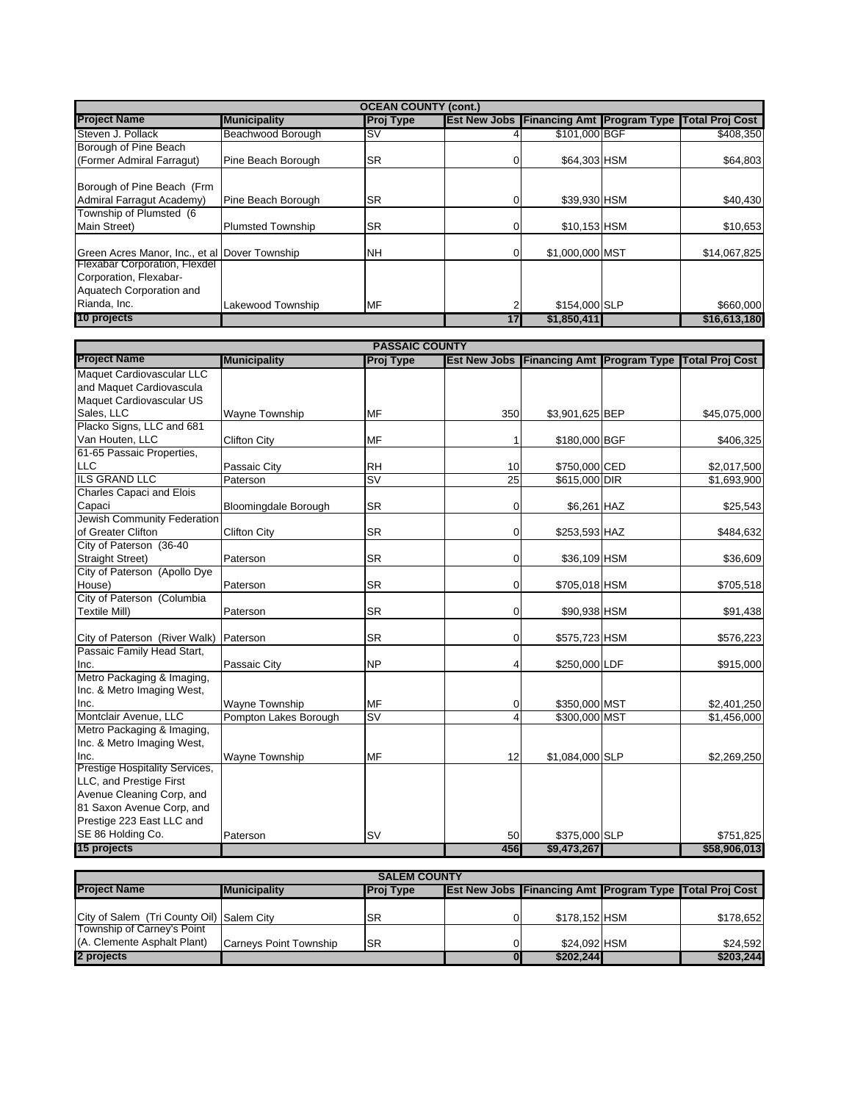|                                                                                     | <b>OCEAN COUNTY (cont.)</b> |           |    |                 |  |                                                                |  |  |  |
|-------------------------------------------------------------------------------------|-----------------------------|-----------|----|-----------------|--|----------------------------------------------------------------|--|--|--|
| <b>Project Name</b>                                                                 | <b>Municipality</b>         | Proj Type |    |                 |  | <b>Est New Jobs Financing Amt Program Type Total Proj Cost</b> |  |  |  |
| Steven J. Pollack                                                                   | Beachwood Borough           | ls۷       |    | \$101,000 BGF   |  | \$408,350                                                      |  |  |  |
| Borough of Pine Beach                                                               |                             |           |    |                 |  |                                                                |  |  |  |
| (Former Admiral Farragut)                                                           | Pine Beach Borough          | <b>SR</b> | 0  | \$64,303 HSM    |  | \$64.803                                                       |  |  |  |
| Borough of Pine Beach (Frm<br>Admiral Farragut Academy)                             | Pine Beach Borough          | <b>SR</b> |    | \$39,930 HSM    |  | \$40,430                                                       |  |  |  |
| Township of Plumsted (6                                                             |                             |           |    |                 |  |                                                                |  |  |  |
| Main Street)                                                                        | <b>Plumsted Township</b>    | <b>SR</b> | 0  | \$10,153 HSM    |  | \$10,653                                                       |  |  |  |
| Green Acres Manor, Inc., et al Dover Township                                       |                             | NΗ        |    | \$1,000,000 MST |  | \$14,067,825                                                   |  |  |  |
| Flexabar Corporation, Flexdel<br>Corporation, Flexabar-<br>Aquatech Corporation and |                             |           |    |                 |  |                                                                |  |  |  |
| Rianda, Inc.                                                                        | Lakewood Township           | <b>MF</b> |    | \$154,000 SLP   |  | \$660,000                                                      |  |  |  |
| 10 projects                                                                         |                             |           | 17 | \$1,850,411     |  | \$16,613,180                                                   |  |  |  |
|                                                                                     |                             |           |    |                 |  |                                                                |  |  |  |

| <b>PASSAIC COUNTY</b>                  |                       |                          |                |                 |  |                                                               |  |  |
|----------------------------------------|-----------------------|--------------------------|----------------|-----------------|--|---------------------------------------------------------------|--|--|
| <b>Project Name</b>                    | <b>Municipality</b>   | <b>Proj Type</b>         |                |                 |  | Est New Jobs   Financing Amt   Program Type   Total Proj Cost |  |  |
| Maquet Cardiovascular LLC              |                       |                          |                |                 |  |                                                               |  |  |
| and Maquet Cardiovascula               |                       |                          |                |                 |  |                                                               |  |  |
| Maquet Cardiovascular US               |                       |                          |                |                 |  |                                                               |  |  |
| Sales, LLC                             | <b>Wayne Township</b> | <b>MF</b>                | 350            | \$3,901,625 BEP |  | \$45,075,000                                                  |  |  |
| Placko Signs, LLC and 681              |                       |                          |                |                 |  |                                                               |  |  |
| Van Houten, LLC                        | <b>Clifton City</b>   | <b>MF</b>                |                | \$180,000 BGF   |  | \$406,325                                                     |  |  |
| 61-65 Passaic Properties,              |                       |                          |                |                 |  |                                                               |  |  |
| <b>LLC</b>                             | Passaic City          | <b>RH</b>                | 10             | \$750,000 CED   |  | \$2,017,500                                                   |  |  |
| <b>ILS GRAND LLC</b>                   | Paterson              | $\overline{\mathsf{sv}}$ | 25             | \$615,000 DIR   |  | \$1,693,900                                                   |  |  |
| <b>Charles Capaci and Elois</b>        |                       |                          |                |                 |  |                                                               |  |  |
| Capaci                                 | Bloomingdale Borough  | <b>SR</b>                | $\mathbf 0$    | \$6,261 HAZ     |  | \$25,543                                                      |  |  |
| Jewish Community Federation            |                       |                          |                |                 |  |                                                               |  |  |
| of Greater Clifton                     | <b>Clifton City</b>   | <b>SR</b>                | $\overline{0}$ | \$253,593 HAZ   |  | \$484,632                                                     |  |  |
| City of Paterson (36-40                |                       |                          |                |                 |  |                                                               |  |  |
| <b>Straight Street)</b>                | Paterson              | <b>SR</b>                | $\mathbf 0$    | \$36,109 HSM    |  | \$36,609                                                      |  |  |
| City of Paterson (Apollo Dye           |                       |                          |                |                 |  |                                                               |  |  |
| House)                                 | Paterson              | <b>SR</b>                | $\Omega$       | \$705,018 HSM   |  | \$705,518                                                     |  |  |
| City of Paterson (Columbia             |                       |                          |                |                 |  |                                                               |  |  |
| <b>Textile Mill)</b>                   | Paterson              | <b>SR</b>                | $\Omega$       | \$90,938 HSM    |  | \$91,438                                                      |  |  |
|                                        |                       |                          |                |                 |  |                                                               |  |  |
| City of Paterson (River Walk) Paterson |                       | <b>SR</b>                | $\overline{0}$ | \$575,723 HSM   |  | \$576,223                                                     |  |  |
| Passaic Family Head Start,             |                       |                          |                |                 |  |                                                               |  |  |
| Inc.                                   | Passaic City          | <b>NP</b>                | 4              | \$250,000 LDF   |  | \$915,000                                                     |  |  |
| Metro Packaging & Imaging,             |                       |                          |                |                 |  |                                                               |  |  |
| Inc. & Metro Imaging West,             |                       |                          |                |                 |  |                                                               |  |  |
| Inc.                                   | <b>Wayne Township</b> | <b>MF</b>                | $\overline{0}$ | \$350,000 MST   |  | \$2,401,250                                                   |  |  |
| Montclair Avenue, LLC                  | Pompton Lakes Borough | SV                       | 4              | \$300,000 MST   |  | \$1,456,000                                                   |  |  |
| Metro Packaging & Imaging,             |                       |                          |                |                 |  |                                                               |  |  |
| Inc. & Metro Imaging West,             |                       |                          |                |                 |  |                                                               |  |  |
| Inc.                                   | <b>Wayne Township</b> | <b>MF</b>                | 12             | \$1,084,000 SLP |  | \$2,269,250                                                   |  |  |
| <b>Prestige Hospitality Services,</b>  |                       |                          |                |                 |  |                                                               |  |  |
| LLC, and Prestige First                |                       |                          |                |                 |  |                                                               |  |  |
| Avenue Cleaning Corp, and              |                       |                          |                |                 |  |                                                               |  |  |
| 81 Saxon Avenue Corp, and              |                       |                          |                |                 |  |                                                               |  |  |
| Prestige 223 East LLC and              |                       |                          |                |                 |  |                                                               |  |  |
| SE 86 Holding Co.                      | Paterson              | <b>SV</b>                | 50             | \$375,000 SLP   |  | \$751,825                                                     |  |  |
| 15 projects                            |                       |                          | 456            | \$9,473,267     |  | \$58,906,013                                                  |  |  |

| <b>SALEM COUNTY</b>                       |                               |                  |    |               |  |                                                                |  |
|-------------------------------------------|-------------------------------|------------------|----|---------------|--|----------------------------------------------------------------|--|
| <b>Project Name</b>                       | <b>Municipality</b>           | <b>Proj Type</b> |    |               |  | <b>Est New Jobs Financing Amt Program Type Total Proj Cost</b> |  |
|                                           |                               |                  |    |               |  |                                                                |  |
| City of Salem (Tri County Oil) Salem City |                               | <b>SR</b>        |    | \$178.152 HSM |  | \$178,652                                                      |  |
| Township of Carney's Point                |                               |                  |    |               |  |                                                                |  |
| (A. Clemente Asphalt Plant)               | <b>Carneys Point Township</b> | ISR              | Οl | \$24.092 HSM  |  | \$24.592                                                       |  |
| 2 projects                                |                               |                  | OI | \$202,244     |  | \$203,244                                                      |  |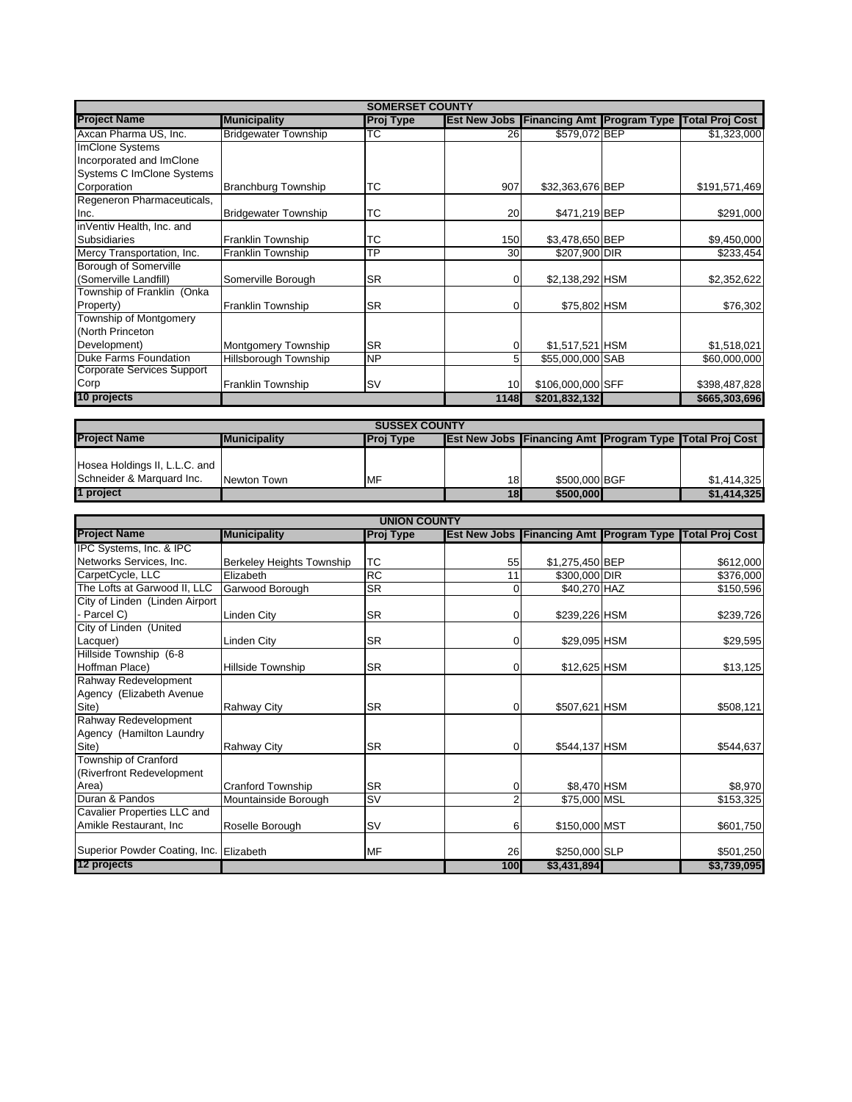| <b>SOMERSET COUNTY</b>                     |                             |                      |                     |                                   |  |                                            |
|--------------------------------------------|-----------------------------|----------------------|---------------------|-----------------------------------|--|--------------------------------------------|
| <b>Project Name</b>                        | <b>Municipality</b>         | <b>Proj Type</b>     | <b>Est New Jobs</b> | <b>Financing Amt Program Type</b> |  | <b>Total Proj Cost</b>                     |
| Axcan Pharma US, Inc.                      | <b>Bridgewater Township</b> | ТC                   | 26                  | \$579,072 BEP                     |  | \$1,323,000                                |
| <b>ImClone Systems</b>                     |                             |                      |                     |                                   |  |                                            |
| Incorporated and ImClone                   |                             |                      |                     |                                   |  |                                            |
| Systems C ImClone Systems                  |                             |                      |                     |                                   |  |                                            |
| Corporation                                | <b>Branchburg Township</b>  | тс                   | 907                 | \$32,363,676 BEP                  |  | \$191,571,469                              |
| Regeneron Pharmaceuticals,                 |                             |                      |                     |                                   |  |                                            |
| Inc.                                       | <b>Bridgewater Township</b> | тс                   | 20                  | \$471,219 BEP                     |  | \$291,000                                  |
| inVentiv Health, Inc. and                  |                             |                      |                     |                                   |  |                                            |
| <b>Subsidiaries</b>                        | Franklin Township           | тс                   | 150                 | \$3,478,650 BEP                   |  | \$9,450,000                                |
| Mercy Transportation, Inc.                 | Franklin Township           | ТP                   | 30                  | \$207,900 DIR                     |  | \$233,454                                  |
| Borough of Somerville                      |                             |                      |                     |                                   |  |                                            |
| (Somerville Landfill)                      | Somerville Borough          | <b>SR</b>            | 0                   | \$2,138,292 HSM                   |  | \$2,352,622                                |
| Township of Franklin (Onka                 |                             |                      |                     |                                   |  |                                            |
|                                            |                             | SR                   | 0                   |                                   |  |                                            |
| Property)<br><b>Township of Montgomery</b> | <b>Franklin Township</b>    |                      |                     | \$75,802 HSM                      |  | \$76,302                                   |
|                                            |                             |                      |                     |                                   |  |                                            |
| (North Princeton                           |                             |                      |                     |                                   |  |                                            |
| Development)                               | Montgomery Township         | SR                   | $\mathbf 0$         | \$1,517,521 HSM                   |  | \$1,518,021                                |
| Duke Farms Foundation                      | Hillsborough Township       | <b>NP</b>            | 5                   | \$55,000,000 SAB                  |  | \$60,000,000                               |
| <b>Corporate Services Support</b>          |                             |                      |                     |                                   |  |                                            |
| Corp                                       | <b>Franklin Township</b>    | <b>SV</b>            | 10                  | \$106,000,000 SFF                 |  | \$398,487,828                              |
| 10 projects                                |                             |                      | 1148                | \$201,832,132                     |  | \$665,303,696                              |
|                                            |                             |                      |                     |                                   |  |                                            |
|                                            |                             | <b>SUSSEX COUNTY</b> |                     |                                   |  |                                            |
| <b>Project Name</b>                        | <b>Municipality</b>         | <b>Proj Type</b>     | <b>Est New Jobs</b> | <b>Financing Amt Program Type</b> |  | <b>Total Proi Cost</b>                     |
|                                            |                             |                      |                     |                                   |  |                                            |
| Hosea Holdings II, L.L.C. and              |                             |                      |                     |                                   |  |                                            |
| Schneider & Marquard Inc.                  | Newton Town                 | MF                   | 18                  | \$500,000 BGF                     |  | \$1,414,325                                |
| 1 project                                  |                             |                      | 18                  | \$500,000                         |  | \$1,414,325                                |
|                                            |                             |                      |                     |                                   |  |                                            |
| <b>Project Name</b>                        |                             | <b>UNION COUNTY</b>  |                     |                                   |  |                                            |
|                                            | <b>Municipality</b>         | <b>Proj Type</b>     | <b>Est New Jobs</b> |                                   |  | Financing Amt Program Type Total Proj Cost |
| IPC Systems, Inc. & IPC                    |                             |                      |                     |                                   |  |                                            |
| Networks Services, Inc.                    | Berkeley Heights Township   | тс                   | 55                  | \$1,275,450 BEP                   |  | \$612,000                                  |
| CarpetCycle, LLC                           | Elizabeth                   | RC                   | 11                  | \$300,000 DIR                     |  | \$376,000                                  |
| The Lofts at Garwood II, LLC               | Garwood Borough             | SR                   | 0                   | \$40,270 HAZ                      |  | \$150,596                                  |
| City of Linden (Linden Airport             |                             |                      |                     |                                   |  |                                            |
| - Parcel C)                                | Linden City                 | <b>SR</b>            | 0                   | \$239,226 HSM                     |  | \$239,726                                  |
| City of Linden (United                     |                             |                      |                     |                                   |  |                                            |
| Lacquer)                                   | Linden City                 | SR                   | $\mathbf 0$         | \$29,095 HSM                      |  | \$29,595                                   |
| Hillside Township (6-8                     |                             |                      |                     |                                   |  |                                            |
| Hoffman Place)                             | Hillside Township           | SR                   | $\overline{0}$      | \$12,625 HSM                      |  | \$13,125                                   |
| Rahway Redevelopment                       |                             |                      |                     |                                   |  |                                            |
| Agency (Elizabeth Avenue                   |                             |                      |                     |                                   |  |                                            |
| Site)                                      | <b>Rahway City</b>          | <b>SR</b>            | $\overline{0}$      | \$507,621 HSM                     |  | \$508,121                                  |
| Rahway Redevelopment                       |                             |                      |                     |                                   |  |                                            |
| Agency (Hamilton Laundry                   |                             |                      |                     |                                   |  |                                            |
| Site)                                      | <b>Rahway City</b>          | <b>SR</b>            | $\overline{0}$      | \$544,137 HSM                     |  | \$544,637                                  |
| Township of Cranford                       |                             |                      |                     |                                   |  |                                            |
| (Riverfront Redevelopment                  |                             |                      |                     |                                   |  |                                            |
| Area)                                      | <b>Cranford Township</b>    | <b>SR</b>            | 0                   | \$8,470 HSM                       |  | \$8,970                                    |
| Duran & Pandos                             | Mountainside Borough        | <b>SV</b>            | $\overline{c}$      | \$75,000 MSL                      |  | \$153,325                                  |
| Cavalier Properties LLC and                |                             |                      |                     |                                   |  |                                            |
| Amikle Restaurant, Inc                     | Roselle Borough             | SV                   | 6                   | \$150,000 MST                     |  | \$601,750                                  |
|                                            |                             |                      |                     |                                   |  |                                            |
| Superior Powder Coating, Inc.              | Elizabeth                   | <b>MF</b>            | 26                  | \$250,000 SLP                     |  | \$501,250                                  |
| 12 projects                                |                             |                      | 100                 | \$3,431,894                       |  | \$3,739,095                                |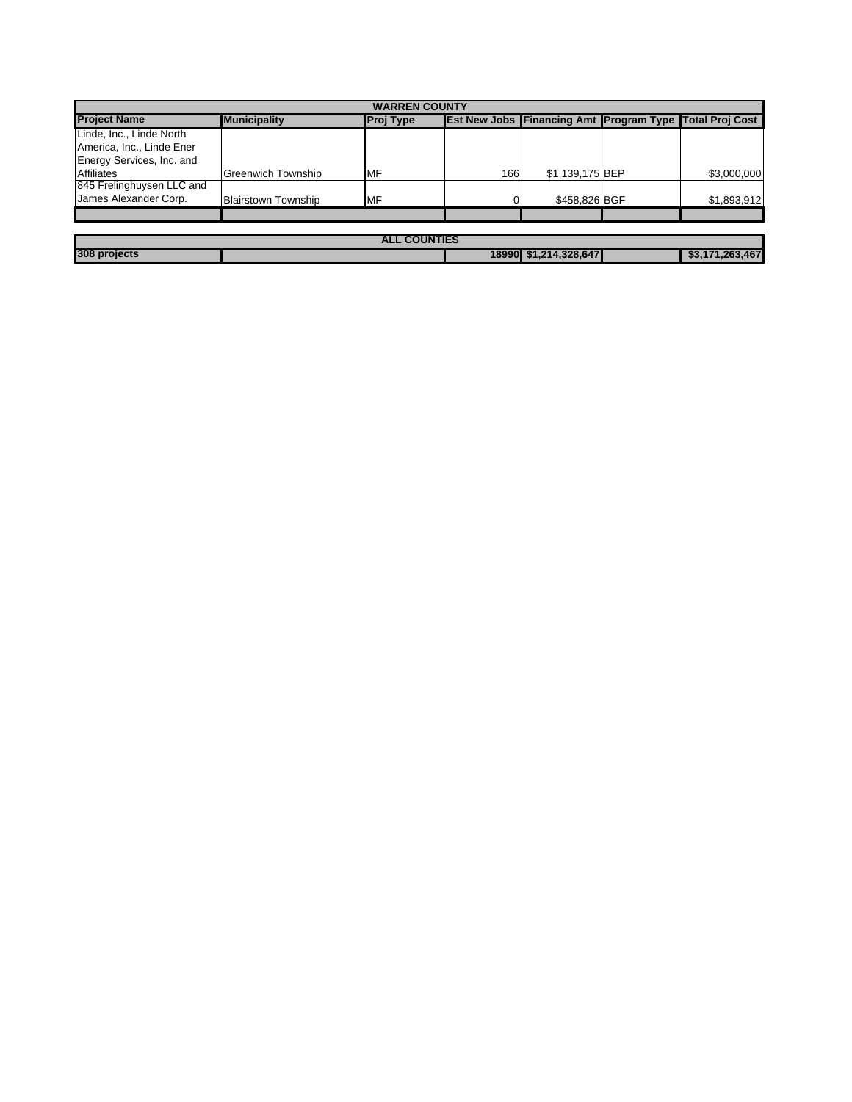| <b>WARREN COUNTY</b>      |                            |                  |     |                                                                |  |                 |
|---------------------------|----------------------------|------------------|-----|----------------------------------------------------------------|--|-----------------|
| <b>Project Name</b>       | <b>Municipality</b>        | <b>Proj Type</b> |     | <b>Est New Jobs Financing Amt Program Type Total Proj Cost</b> |  |                 |
| Linde, Inc., Linde North  |                            |                  |     |                                                                |  |                 |
| America, Inc., Linde Ener |                            |                  |     |                                                                |  |                 |
| Energy Services, Inc. and |                            |                  |     |                                                                |  |                 |
| <b>Affiliates</b>         | <b>Greenwich Township</b>  | MF               | 166 | \$1,139,175 BEP                                                |  | \$3,000,000     |
| 845 Frelinghuysen LLC and |                            |                  |     |                                                                |  |                 |
| James Alexander Corp.     | <b>Blairstown Township</b> | MF               | n.  | \$458,826 BGF                                                  |  | \$1,893,912     |
|                           |                            |                  |     |                                                                |  |                 |
|                           |                            |                  |     |                                                                |  |                 |
| <b>ALL COUNTIES</b>       |                            |                  |     |                                                                |  |                 |
| 308 projects              |                            |                  |     | 18990 \$1,214,328,647                                          |  | \$3,171,263,467 |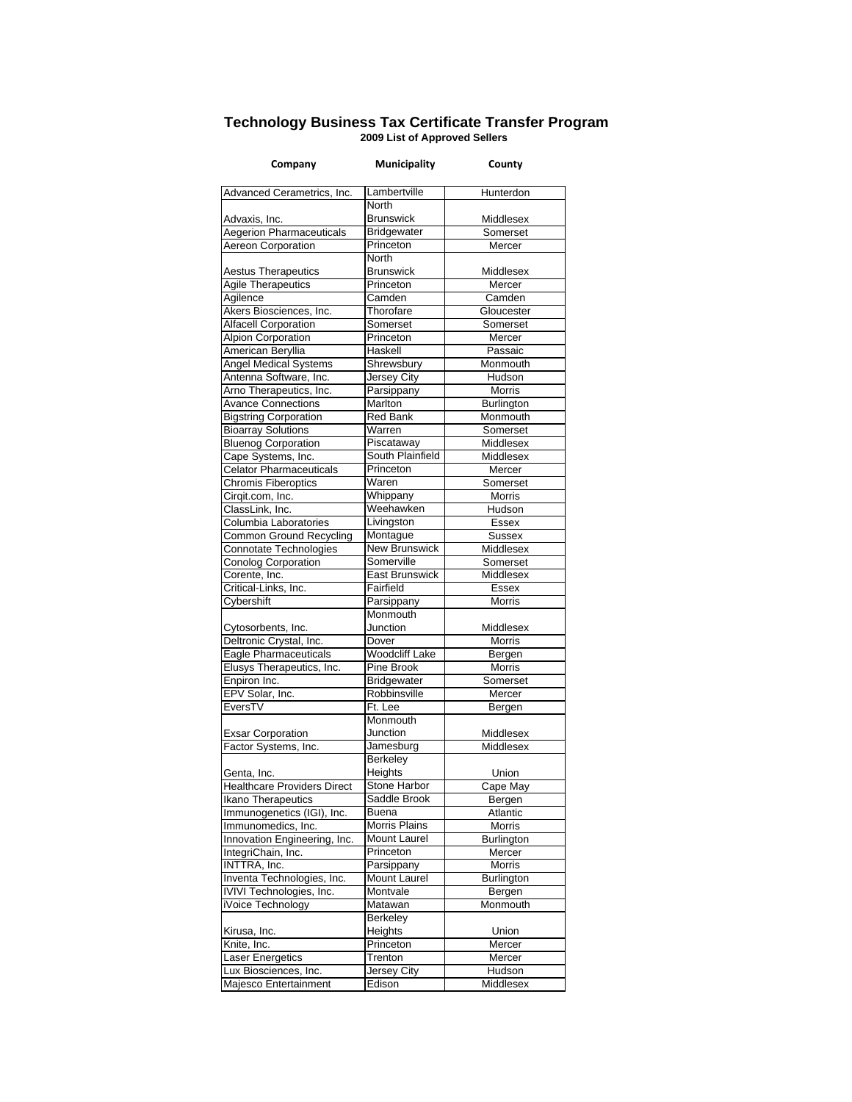## **Technology Business Tax Certificate Transfer Program 2009 List of Approved Sellers**

| Company                                           | <b>Municipality</b>   | County             |
|---------------------------------------------------|-----------------------|--------------------|
| Advanced Cerametrics, Inc.                        | Lambertville          | Hunterdon          |
|                                                   | North                 |                    |
| Advaxis, Inc.                                     | <b>Brunswick</b>      | Middlesex          |
| <b>Aegerion Pharmaceuticals</b>                   | Bridgewater           | Somerset           |
| Aereon Corporation                                | Princeton             | Mercer             |
|                                                   | North                 |                    |
| <b>Aestus Therapeutics</b>                        | <b>Brunswick</b>      | Middlesex          |
| <b>Agile Therapeutics</b>                         | Princeton             | Mercer             |
| Agilence                                          | Camden                | Camden             |
| Akers Biosciences, Inc.                           | Thorofare             | Gloucester         |
| <b>Alfacell Corporation</b>                       | Somerset              | Somerset           |
| Alpion Corporation                                | Princeton             | Mercer             |
| American Beryllia                                 | Haskell               | Passaic            |
| <b>Angel Medical Systems</b>                      | Shrewsbury            | Monmouth           |
| Antenna Software, Inc.                            | Jersey City           | Hudson             |
| Arno Therapeutics, Inc.                           | Parsippany            | Morris             |
| <b>Avance Connections</b>                         | Marlton               | Burlington         |
| <b>Bigstring Corporation</b>                      | <b>Red Bank</b>       | Monmouth           |
| <b>Bioarray Solutions</b>                         | Warren                | Somerset           |
| <b>Bluenog Corporation</b>                        | Piscataway            | Middlesex          |
| Cape Systems, Inc.                                | South Plainfield      | Middlesex          |
| <b>Celator Pharmaceuticals</b>                    | Princeton             | Mercer             |
| <b>Chromis Fiberoptics</b>                        | Waren                 | Somerset           |
| Cirqit.com, Inc.                                  | Whippany              | Morris             |
| ClassLink, Inc.                                   | Weehawken             | Hudson             |
| Columbia Laboratories                             | Livingston            | Essex              |
| <b>Common Ground Recycling</b>                    | Montague              | Sussex             |
| Connotate Technologies                            | <b>New Brunswick</b>  | Middlesex          |
| <b>Conolog Corporation</b>                        | Somerville            | Somerset           |
| Corente, Inc.                                     | East Brunswick        | Middlesex          |
| Critical-Links, Inc.                              | Fairfield             | <b>Essex</b>       |
| Cybershift                                        | Parsippany            | Morris             |
|                                                   | Monmouth              |                    |
| Cytosorbents, Inc.                                | Junction              | Middlesex          |
| Deltronic Crystal, Inc.                           | Dover                 | Morris             |
| Eagle Pharmaceuticals                             | <b>Woodcliff Lake</b> | Bergen             |
| Elusys Therapeutics, Inc.                         | Pine Brook            | Morris             |
| Enpiron Inc.                                      | Bridgewater           | Somerset           |
| EPV Solar, Inc.                                   | Robbinsville          | Mercer             |
| EversTV                                           | Ft. Lee               | Bergen             |
|                                                   | Monmouth              |                    |
| <b>Exsar Corporation</b>                          | Junction              | Middlesex          |
| Factor Systems, Inc.                              | Jamesburg<br>Berkeley | Middlesex          |
|                                                   | Heights               | Union              |
| Genta, Inc.<br><b>Healthcare Providers Direct</b> | Stone Harbor          |                    |
| Ikano Therapeutics                                | Saddle Brook          | Cape May           |
| Immunogenetics (IGI), Inc.                        | Buena                 | Bergen<br>Atlantic |
| Immunomedics, Inc.                                | <b>Morris Plains</b>  | Morris             |
| Innovation Engineering, Inc.                      | <b>Mount Laurel</b>   | <b>Burlington</b>  |
| IntegriChain, Inc.                                | Princeton             | Mercer             |
| INTTRA, Inc.                                      | Parsippany            | Morris             |
| Inventa Technologies, Inc.                        | <b>Mount Laurel</b>   | Burlington         |
| IVIVI Technologies, Inc.                          | Montvale              | Bergen             |
| iVoice Technology                                 | Matawan               | Monmouth           |
|                                                   | Berkeley              |                    |
| Kirusa, Inc.                                      | Heights               | Union              |
| Knite, Inc.                                       | Princeton             | Mercer             |
| <b>Laser Energetics</b>                           | Trenton               | Mercer             |
| Lux Biosciences, Inc.                             | Jersey City           | Hudson             |
| Majesco Entertainment                             | Edison                | Middlesex          |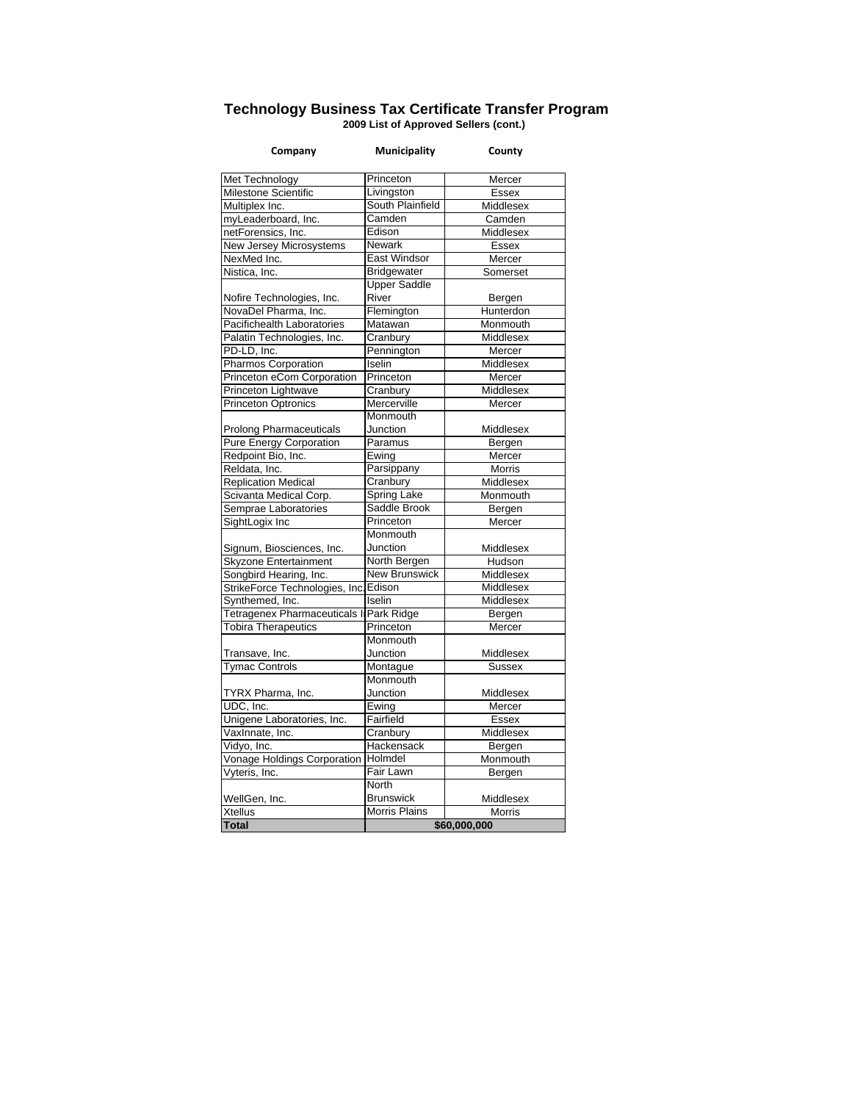## **Technology Business Tax Certificate Transfer Program 2009 List of Approved Sellers (cont.)**

| Company                               | Municipality         | County        |  |
|---------------------------------------|----------------------|---------------|--|
| Met Technology                        | Princeton            | Mercer        |  |
| Milestone Scientific                  | Livingston           | Essex         |  |
| Multiplex Inc.                        | South Plainfield     | Middlesex     |  |
| myLeaderboard, Inc.                   | Camden               | Camden        |  |
| netForensics, Inc.                    | Edison               | Middlesex     |  |
| New Jersey Microsystems               | <b>Newark</b>        | <b>Essex</b>  |  |
| NexMed Inc.                           | <b>East Windsor</b>  | Mercer        |  |
| Nistica, Inc.                         | <b>Bridgewater</b>   | Somerset      |  |
|                                       | <b>Upper Saddle</b>  |               |  |
| Nofire Technologies, Inc.             | River                | Bergen        |  |
| NovaDel Pharma, Inc.                  | Flemington           | Hunterdon     |  |
| Pacifichealth Laboratories            | Matawan              | Monmouth      |  |
| Palatin Technologies, Inc.            | Cranbury             | Middlesex     |  |
| PD-LD, Inc.                           | Pennington           | Mercer        |  |
| Pharmos Corporation                   | Iselin               | Middlesex     |  |
| Princeton eCom Corporation            | Princeton            | Mercer        |  |
| Princeton Lightwave                   | Cranbury             | Middlesex     |  |
| Princeton Optronics                   | Mercerville          | Mercer        |  |
|                                       | Monmouth             |               |  |
| <b>Prolong Pharmaceuticals</b>        | Junction             | Middlesex     |  |
| Pure Energy Corporation               | Paramus              | Bergen        |  |
| Redpoint Bio, Inc.                    | Ewing                | Mercer        |  |
| Reldata, Inc.                         | Parsippany           | <b>Morris</b> |  |
| <b>Replication Medical</b>            | Cranbury             | Middlesex     |  |
| Scivanta Medical Corp.                | <b>Spring Lake</b>   | Monmouth      |  |
| Semprae Laboratories                  | Saddle Brook         | Bergen        |  |
| SightLogix Inc                        | Princeton            | Mercer        |  |
|                                       | Monmouth             |               |  |
| Signum, Biosciences, Inc.             | Junction             | Middlesex     |  |
| Skyzone Entertainment                 | North Bergen         | Hudson        |  |
| Songbird Hearing, Inc.                | <b>New Brunswick</b> | Middlesex     |  |
| StrikeForce Technologies, Inc. Edison |                      | Middlesex     |  |
| Synthemed, Inc.                       | Iselin               | Middlesex     |  |
| Tetragenex Pharmaceuticals In         | <b>Park Ridge</b>    | Bergen        |  |
| Tobira Therapeutics                   | Princeton            | Mercer        |  |
|                                       | Monmouth             |               |  |
| Transave, Inc.                        | Junction             | Middlesex     |  |
| <b>Tymac Controls</b>                 | Montague             | <b>Sussex</b> |  |
|                                       | Monmouth             |               |  |
| TYRX Pharma, Inc.                     | Junction             | Middlesex     |  |
| UDC. Inc.                             | Ewing                | Mercer        |  |
| Unigene Laboratories, Inc.            | Fairfield            | <b>Essex</b>  |  |
| VaxInnate, Inc.                       | Cranbury             | Middlesex     |  |
| Vidyo, Inc.                           | Hackensack           | Bergen        |  |
| Vonage Holdings Corporation           | Holmdel              | Monmouth      |  |
| Vyteris, Inc.                         | Fair Lawn            | Bergen        |  |
|                                       | <b>North</b>         |               |  |
| WellGen, Inc.                         | <b>Brunswick</b>     | Middlesex     |  |
| <b>Xtellus</b>                        | <b>Morris Plains</b> | <b>Morris</b> |  |
| <b>Total</b>                          | \$60,000,000         |               |  |